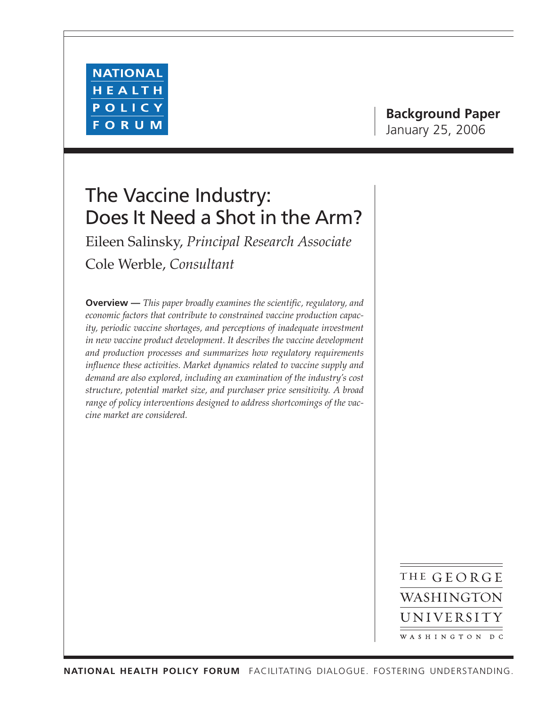

# **Background Paper** January 25, 2006

# The Vaccine Industry: Does It Need a Shot in the Arm?

Eileen Salinsky, *Principal Research Associate* Cole Werble, *Consultant*

**Overview —** *This paper broadly examines the scientific, regulatory, and economic factors that contribute to constrained vaccine production capacity, periodic vaccine shortages, and perceptions of inadequate investment in new vaccine product development. It describes the vaccine development and production processes and summarizes how regulatory requirements influence these activities. Market dynamics related to vaccine supply and demand are also explored, including an examination of the industry's cost structure, potential market size, and purchaser price sensitivity. A broad range of policy interventions designed to address shortcomings of the vaccine market are considered.*

> THE GEORGE WASHINGTON UNIVERSITY WASHINGTON DC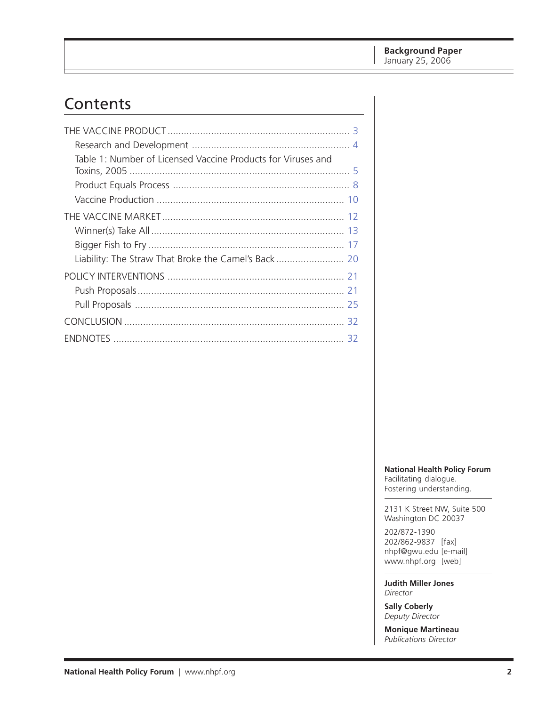# Contents

| Table 1: Number of Licensed Vaccine Products for Viruses and |  |
|--------------------------------------------------------------|--|
|                                                              |  |
|                                                              |  |
|                                                              |  |
|                                                              |  |
|                                                              |  |
|                                                              |  |
|                                                              |  |
|                                                              |  |
|                                                              |  |
|                                                              |  |
|                                                              |  |

**National Health Policy Forum**

Facilitating dialogue. Fostering understanding.

2131 K Street NW, Suite 500 Washington DC 20037

202/872-1390 202/862-9837 [fax] nhpf@gwu.edu [e-mail] www.nhpf.org [web]

**Judith Miller Jones** *Director*

**Sally Coberly** *Deputy Director*

**Monique Martineau** *Publications Director*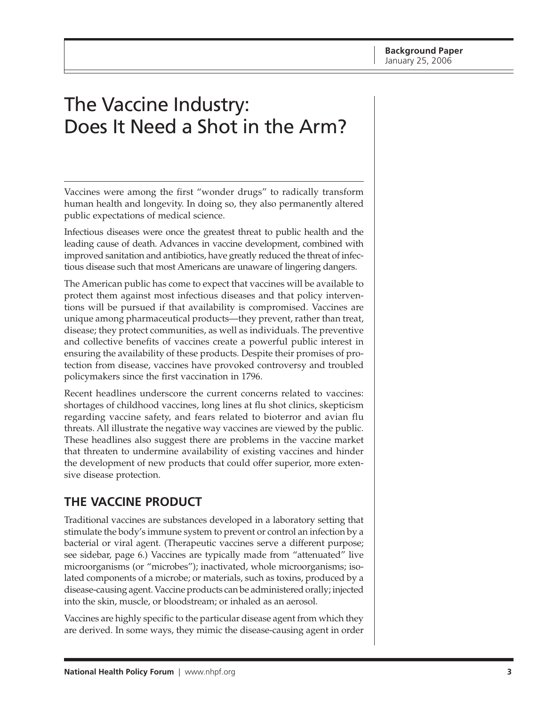# <span id="page-2-0"></span>The Vaccine Industry: Does It Need a Shot in the Arm?

Vaccines were among the first "wonder drugs" to radically transform human health and longevity. In doing so, they also permanently altered public expectations of medical science.

Infectious diseases were once the greatest threat to public health and the leading cause of death. Advances in vaccine development, combined with improved sanitation and antibiotics, have greatly reduced the threat of infectious disease such that most Americans are unaware of lingering dangers.

The American public has come to expect that vaccines will be available to protect them against most infectious diseases and that policy interventions will be pursued if that availability is compromised. Vaccines are unique among pharmaceutical products—they prevent, rather than treat, disease; they protect communities, as well as individuals. The preventive and collective benefits of vaccines create a powerful public interest in ensuring the availability of these products. Despite their promises of protection from disease, vaccines have provoked controversy and troubled policymakers since the first vaccination in 1796.

Recent headlines underscore the current concerns related to vaccines: shortages of childhood vaccines, long lines at flu shot clinics, skepticism regarding vaccine safety, and fears related to bioterror and avian flu threats. All illustrate the negative way vaccines are viewed by the public. These headlines also suggest there are problems in the vaccine market that threaten to undermine availability of existing vaccines and hinder the development of new products that could offer superior, more extensive disease protection.

# **THE VACCINE PRODUCT**

Traditional vaccines are substances developed in a laboratory setting that stimulate the body's immune system to prevent or control an infection by a bacterial or viral agent. (Therapeutic vaccines serve a different purpose; see sidebar, page 6.) Vaccines are typically made from "attenuated" live microorganisms (or "microbes"); inactivated, whole microorganisms; isolated components of a microbe; or materials, such as toxins, produced by a disease-causing agent. Vaccine products can be administered orally; injected into the skin, muscle, or bloodstream; or inhaled as an aerosol.

Vaccines are highly specific to the particular disease agent from which they are derived. In some ways, they mimic the disease-causing agent in order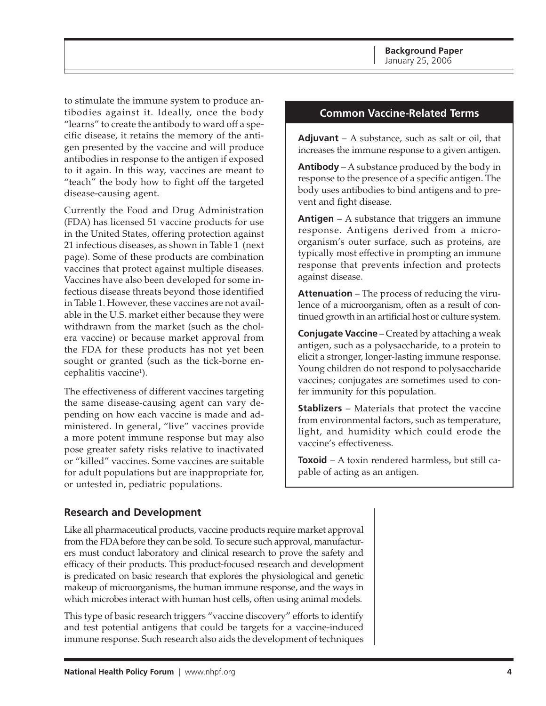<span id="page-3-0"></span>to stimulate the immune system to produce antibodies against it. Ideally, once the body "learns" to create the antibody to ward off a specific disease, it retains the memory of the antigen presented by the vaccine and will produce antibodies in response to the antigen if exposed to it again. In this way, vaccines are meant to "teach" the body how to fight off the targeted disease-causing agent.

Currently the Food and Drug Administration (FDA) has licensed 51 vaccine products for use in the United States, offering protection against 21 infectious diseases, as shown in Table 1 (next page). Some of these products are combination vaccines that protect against multiple diseases. Vaccines have also been developed for some infectious disease threats beyond those identified in Table 1. However, these vaccines are not available in the U.S. market either because they were withdrawn from the market (such as the cholera vaccine) or because market approval from the FDA for these products has not yet been sought or granted (such as the tick-borne encephalitis vaccine<sup>1</sup>).

The effectiveness of different vaccines targeting the same disease-causing agent can vary depending on how each vaccine is made and administered. In general, "live" vaccines provide a more potent immune response but may also pose greater safety risks relative to inactivated or "killed" vaccines. Some vaccines are suitable for adult populations but are inappropriate for, or untested in, pediatric populations.

### **Common Vaccine-Related Terms**

**Adjuvant** – A substance, such as salt or oil, that increases the immune response to a given antigen.

**Antibody** – A substance produced by the body in response to the presence of a specific antigen. The body uses antibodies to bind antigens and to prevent and fight disease.

**Antigen** – A substance that triggers an immune response. Antigens derived from a microorganism's outer surface, such as proteins, are typically most effective in prompting an immune response that prevents infection and protects against disease.

**Attenuation** – The process of reducing the virulence of a microorganism, often as a result of continued growth in an artificial host or culture system.

**Conjugate Vaccine** – Created by attaching a weak antigen, such as a polysaccharide, to a protein to elicit a stronger, longer-lasting immune response. Young children do not respond to polysaccharide vaccines; conjugates are sometimes used to confer immunity for this population.

**Stablizers** – Materials that protect the vaccine from environmental factors, such as temperature, light, and humidity which could erode the vaccine's effectiveness.

**Toxoid** – A toxin rendered harmless, but still capable of acting as an antigen.

#### **Research and Development**

Like all pharmaceutical products, vaccine products require market approval from the FDA before they can be sold. To secure such approval, manufacturers must conduct laboratory and clinical research to prove the safety and efficacy of their products. This product-focused research and development is predicated on basic research that explores the physiological and genetic makeup of microorganisms, the human immune response, and the ways in which microbes interact with human host cells, often using animal models.

This type of basic research triggers "vaccine discovery" efforts to identify and test potential antigens that could be targets for a vaccine-induced immune response. Such research also aids the development of techniques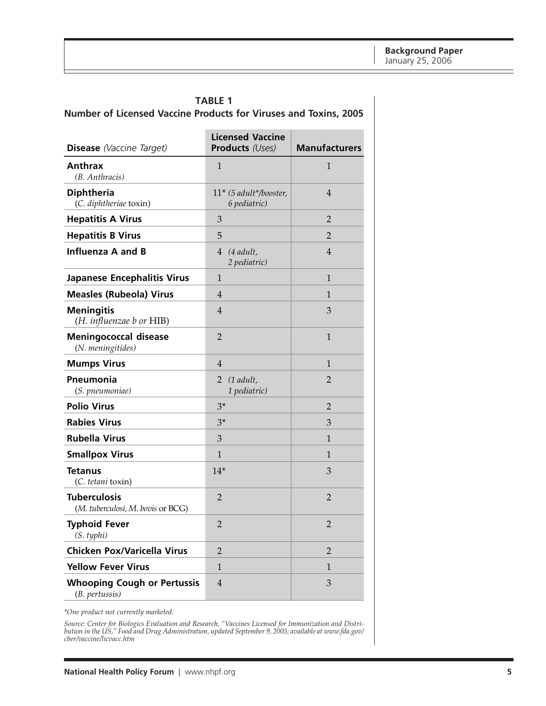<span id="page-4-0"></span>

|                                                                         | <b>TABLE 1</b> |  |  |  |
|-------------------------------------------------------------------------|----------------|--|--|--|
| <b>Number of Licensed Vaccine Products for Viruses and Toxins, 2005</b> |                |  |  |  |

| <b>Disease</b> (Vaccine Target)                          | <b>Licensed Vaccine</b><br><b>Products</b> (Uses) | <b>Manufacturers</b> |
|----------------------------------------------------------|---------------------------------------------------|----------------------|
| <b>Anthrax</b><br>(B. Anthracis)                         | $\mathbf{1}$                                      | $\mathbf{1}$         |
| <b>Diphtheria</b><br>(C. diphtheriae toxin)              | $11*$ (5 adult*/booster,<br>6 pediatric)          | 4                    |
| <b>Hepatitis A Virus</b>                                 | 3                                                 | 2                    |
| <b>Hepatitis B Virus</b>                                 | 5                                                 | $\overline{2}$       |
| <b>Influenza A and B</b>                                 | $4$ (4 adult,<br>2 pediatric)                     | 4                    |
| Japanese Encephalitis Virus                              | 1                                                 | 1                    |
| <b>Measles (Rubeola) Virus</b>                           | 4                                                 | 1                    |
| <b>Meningitis</b><br>(H. influenzae b or HIB)            | $\overline{4}$                                    | 3                    |
| <b>Meningococcal disease</b><br>(N. meningitides)        | 2                                                 | $\mathbf{1}$         |
| <b>Mumps Virus</b>                                       | 4                                                 | 1                    |
| Pneumonia<br>(S. pneumoniae)                             | $2(1$ adult,<br>1 pediatric)                      | 2                    |
| <b>Polio Virus</b>                                       | $3*$                                              | $\overline{2}$       |
| <b>Rabies Virus</b>                                      | $3*$                                              | 3                    |
| <b>Rubella Virus</b>                                     | 3                                                 | 1                    |
| <b>Smallpox Virus</b>                                    | $\mathbf{1}$                                      | 1                    |
| <b>Tetanus</b><br>(C. tetani toxin)                      | $14*$                                             | 3                    |
| <b>Tuberculosis</b><br>(M. tuberculosi, M. bovis or BCG) | 2                                                 | 2                    |
| <b>Typhoid Fever</b><br>(S. typhi)                       | $\overline{2}$                                    | $\overline{2}$       |
| <b>Chicken Pox/Varicella Virus</b>                       | $\overline{2}$                                    | 2                    |
| <b>Yellow Fever Virus</b>                                | $\mathbf{1}$                                      | 1                    |
| <b>Whooping Cough or Pertussis</b><br>(B. pertussis)     | $\overline{4}$                                    | 3                    |

*\*One product not currently marketed.*

*Source: Center for Biologics Evaluation and Research, "Vaccines Licensed for Immunization and Distribution in the US," Food and Drug Administration, updated September 9, 2005; available at www.fda.gov/ cber/vaccine/licvacc.htm*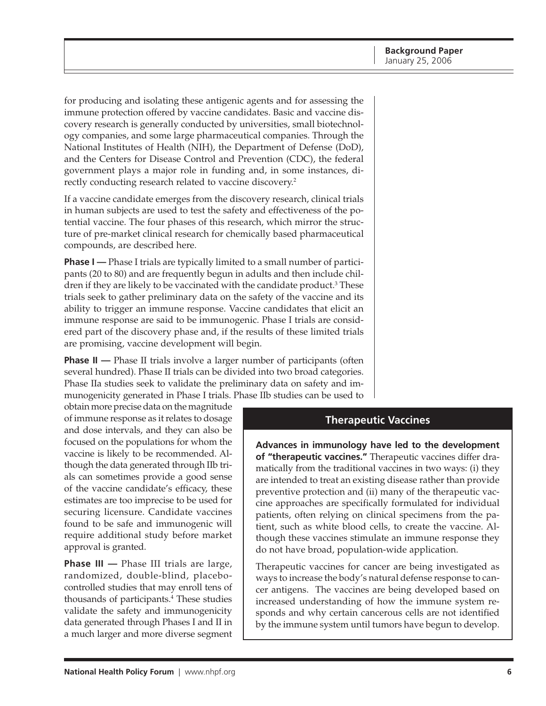for producing and isolating these antigenic agents and for assessing the immune protection offered by vaccine candidates. Basic and vaccine discovery research is generally conducted by universities, small biotechnology companies, and some large pharmaceutical companies. Through the National Institutes of Health (NIH), the Department of Defense (DoD), and the Centers for Disease Control and Prevention (CDC), the federal government plays a major role in funding and, in some instances, directly conducting research related to vaccine discovery.<sup>2</sup>

If a vaccine candidate emerges from the discovery research, clinical trials in human subjects are used to test the safety and effectiveness of the potential vaccine. The four phases of this research, which mirror the structure of pre-market clinical research for chemically based pharmaceutical compounds, are described here.

**Phase I** — Phase I trials are typically limited to a small number of participants (20 to 80) and are frequently begun in adults and then include children if they are likely to be vaccinated with the candidate product.<sup>3</sup> These trials seek to gather preliminary data on the safety of the vaccine and its ability to trigger an immune response. Vaccine candidates that elicit an immune response are said to be immunogenic. Phase I trials are considered part of the discovery phase and, if the results of these limited trials are promising, vaccine development will begin.

**Phase II** — Phase II trials involve a larger number of participants (often several hundred). Phase II trials can be divided into two broad categories. Phase IIa studies seek to validate the preliminary data on safety and immunogenicity generated in Phase I trials. Phase IIb studies can be used to

obtain more precise data on the magnitude of immune response as it relates to dosage and dose intervals, and they can also be focused on the populations for whom the vaccine is likely to be recommended. Although the data generated through IIb trials can sometimes provide a good sense of the vaccine candidate's efficacy, these estimates are too imprecise to be used for securing licensure. Candidate vaccines found to be safe and immunogenic will require additional study before market approval is granted.

**Phase III —** Phase III trials are large, randomized, double-blind, placebocontrolled studies that may enroll tens of thousands of participants.4 These studies validate the safety and immunogenicity data generated through Phases I and II in a much larger and more diverse segment

#### **Therapeutic Vaccines**

**Advances in immunology have led to the development of "therapeutic vaccines."** Therapeutic vaccines differ dramatically from the traditional vaccines in two ways: (i) they are intended to treat an existing disease rather than provide preventive protection and (ii) many of the therapeutic vaccine approaches are specifically formulated for individual patients, often relying on clinical specimens from the patient, such as white blood cells, to create the vaccine. Although these vaccines stimulate an immune response they do not have broad, population-wide application.

Therapeutic vaccines for cancer are being investigated as ways to increase the body's natural defense response to cancer antigens. The vaccines are being developed based on increased understanding of how the immune system responds and why certain cancerous cells are not identified by the immune system until tumors have begun to develop.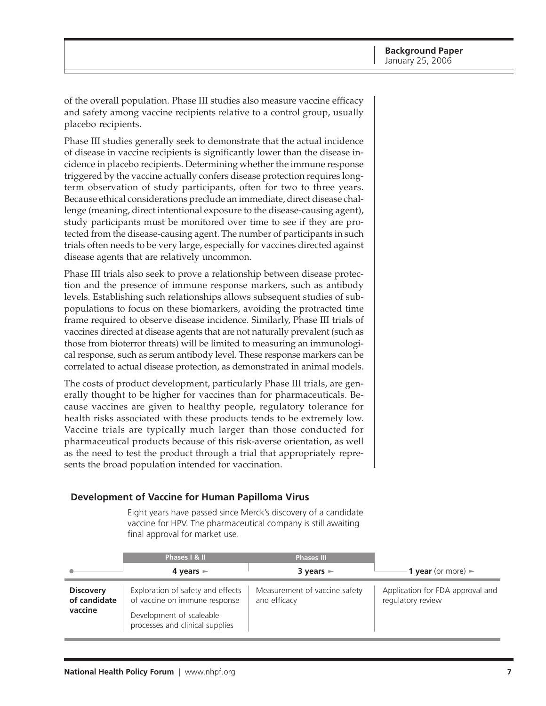of the overall population. Phase III studies also measure vaccine efficacy and safety among vaccine recipients relative to a control group, usually placebo recipients.

Phase III studies generally seek to demonstrate that the actual incidence of disease in vaccine recipients is significantly lower than the disease incidence in placebo recipients. Determining whether the immune response triggered by the vaccine actually confers disease protection requires longterm observation of study participants, often for two to three years. Because ethical considerations preclude an immediate, direct disease challenge (meaning, direct intentional exposure to the disease-causing agent), study participants must be monitored over time to see if they are protected from the disease-causing agent. The number of participants in such trials often needs to be very large, especially for vaccines directed against disease agents that are relatively uncommon.

Phase III trials also seek to prove a relationship between disease protection and the presence of immune response markers, such as antibody levels. Establishing such relationships allows subsequent studies of subpopulations to focus on these biomarkers, avoiding the protracted time frame required to observe disease incidence. Similarly, Phase III trials of vaccines directed at disease agents that are not naturally prevalent (such as those from bioterror threats) will be limited to measuring an immunological response, such as serum antibody level. These response markers can be correlated to actual disease protection, as demonstrated in animal models.

The costs of product development, particularly Phase III trials, are generally thought to be higher for vaccines than for pharmaceuticals. Because vaccines are given to healthy people, regulatory tolerance for health risks associated with these products tends to be extremely low. Vaccine trials are typically much larger than those conducted for pharmaceutical products because of this risk-averse orientation, as well as the need to test the product through a trial that appropriately represents the broad population intended for vaccination.

#### **Development of Vaccine for Human Papilloma Virus**

Eight years have passed since Merck's discovery of a candidate vaccine for HPV. The pharmaceutical company is still awaiting final approval for market use.

|                                             | Phases   & II                                                                                                                     | <b>Phases III</b>                             |                                                       |
|---------------------------------------------|-----------------------------------------------------------------------------------------------------------------------------------|-----------------------------------------------|-------------------------------------------------------|
|                                             | 4 years $\blacktriangleright$                                                                                                     | $3$ years $\blacktriangleright$               | <b>1 year</b> (or more) $\blacktriangleright$         |
| <b>Discovery</b><br>of candidate<br>vaccine | Exploration of safety and effects<br>of vaccine on immune response<br>Development of scaleable<br>processes and clinical supplies | Measurement of vaccine safety<br>and efficacy | Application for FDA approval and<br>regulatory review |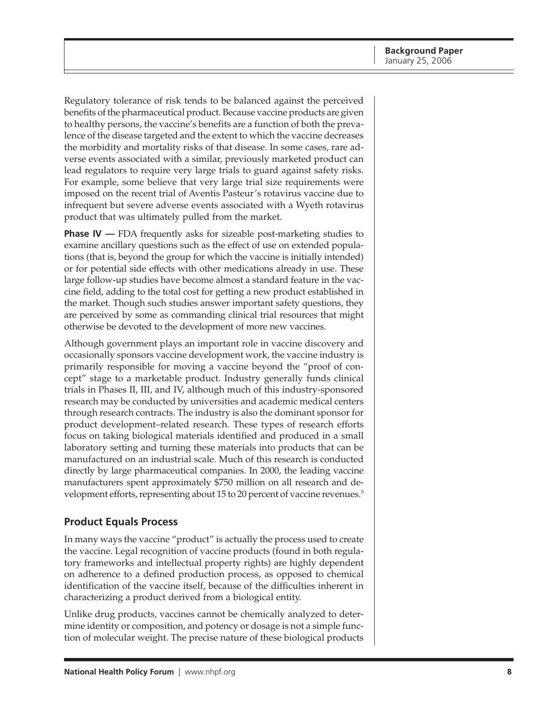<span id="page-7-0"></span>Regulatory tolerance of risk tends to be balanced against the perceived benefits of the pharmaceutical product. Because vaccine products are given to healthy persons, the vaccine's benefits are a function of both the prevalence of the disease targeted and the extent to which the vaccine decreases the morbidity and mortality risks of that disease. In some cases, rare adverse events associated with a similar, previously marketed product can lead regulators to require very large trials to guard against safety risks. For example, some believe that very large trial size requirements were imposed on the recent trial of Aventis Pasteur's rotavirus vaccine due to infrequent but severe adverse events associated with a Wyeth rotavirus product that was ultimately pulled from the market.

**Phase IV** — FDA frequently asks for sizeable post-marketing studies to examine ancillary questions such as the effect of use on extended populations (that is, beyond the group for which the vaccine is initially intended) or for potential side effects with other medications already in use. These large follow-up studies have become almost a standard feature in the vaccine field, adding to the total cost for getting a new product established in the market. Though such studies answer important safety questions, they are perceived by some as commanding clinical trial resources that might otherwise be devoted to the development of more new vaccines.

Although government plays an important role in vaccine discovery and occasionally sponsors vaccine development work, the vaccine industry is primarily responsible for moving a vaccine beyond the "proof of concept" stage to a marketable product. Industry generally funds clinical trials in Phases II, III, and IV, although much of this industry-sponsored research may be conducted by universities and academic medical centers through research contracts. The industry is also the dominant sponsor for product development–related research. These types of research efforts focus on taking biological materials identified and produced in a small laboratory setting and turning these materials into products that can be manufactured on an industrial scale. Much of this research is conducted directly by large pharmaceutical companies. In 2000, the leading vaccine manufacturers spent approximately \$750 million on all research and development efforts, representing about 15 to 20 percent of vaccine revenues.<sup>5</sup>

### **Product Equals Process**

In many ways the vaccine "product" is actually the process used to create the vaccine. Legal recognition of vaccine products (found in both regulatory frameworks and intellectual property rights) are highly dependent on adherence to a defined production process, as opposed to chemical identification of the vaccine itself, because of the difficulties inherent in characterizing a product derived from a biological entity.

Unlike drug products, vaccines cannot be chemically analyzed to determine identity or composition, and potency or dosage is not a simple function of molecular weight. The precise nature of these biological products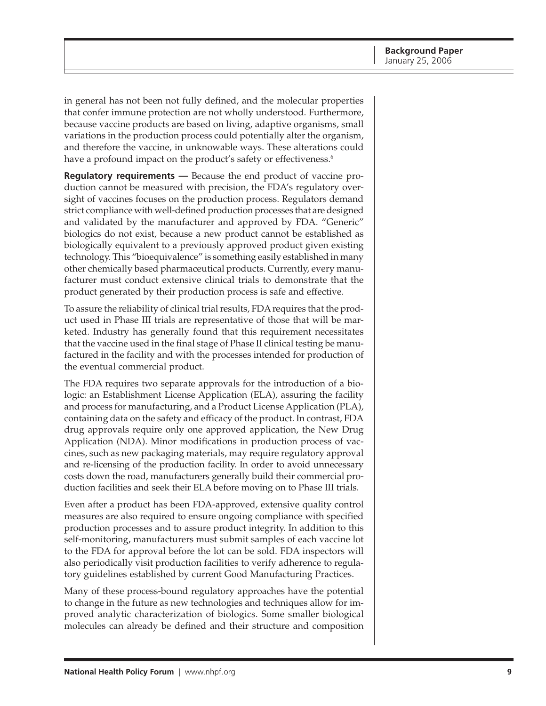in general has not been not fully defined, and the molecular properties that confer immune protection are not wholly understood. Furthermore, because vaccine products are based on living, adaptive organisms, small variations in the production process could potentially alter the organism, and therefore the vaccine, in unknowable ways. These alterations could have a profound impact on the product's safety or effectiveness.<sup>6</sup>

**Regulatory requirements —** Because the end product of vaccine production cannot be measured with precision, the FDA's regulatory oversight of vaccines focuses on the production process. Regulators demand strict compliance with well-defined production processes that are designed and validated by the manufacturer and approved by FDA. "Generic" biologics do not exist, because a new product cannot be established as biologically equivalent to a previously approved product given existing technology. This "bioequivalence" is something easily established in many other chemically based pharmaceutical products. Currently, every manufacturer must conduct extensive clinical trials to demonstrate that the product generated by their production process is safe and effective.

To assure the reliability of clinical trial results, FDA requires that the product used in Phase III trials are representative of those that will be marketed. Industry has generally found that this requirement necessitates that the vaccine used in the final stage of Phase II clinical testing be manufactured in the facility and with the processes intended for production of the eventual commercial product.

The FDA requires two separate approvals for the introduction of a biologic: an Establishment License Application (ELA), assuring the facility and process for manufacturing, and a Product License Application (PLA), containing data on the safety and efficacy of the product. In contrast, FDA drug approvals require only one approved application, the New Drug Application (NDA). Minor modifications in production process of vaccines, such as new packaging materials, may require regulatory approval and re-licensing of the production facility. In order to avoid unnecessary costs down the road, manufacturers generally build their commercial production facilities and seek their ELA before moving on to Phase III trials.

Even after a product has been FDA-approved, extensive quality control measures are also required to ensure ongoing compliance with specified production processes and to assure product integrity. In addition to this self-monitoring, manufacturers must submit samples of each vaccine lot to the FDA for approval before the lot can be sold. FDA inspectors will also periodically visit production facilities to verify adherence to regulatory guidelines established by current Good Manufacturing Practices.

Many of these process-bound regulatory approaches have the potential to change in the future as new technologies and techniques allow for improved analytic characterization of biologics. Some smaller biological molecules can already be defined and their structure and composition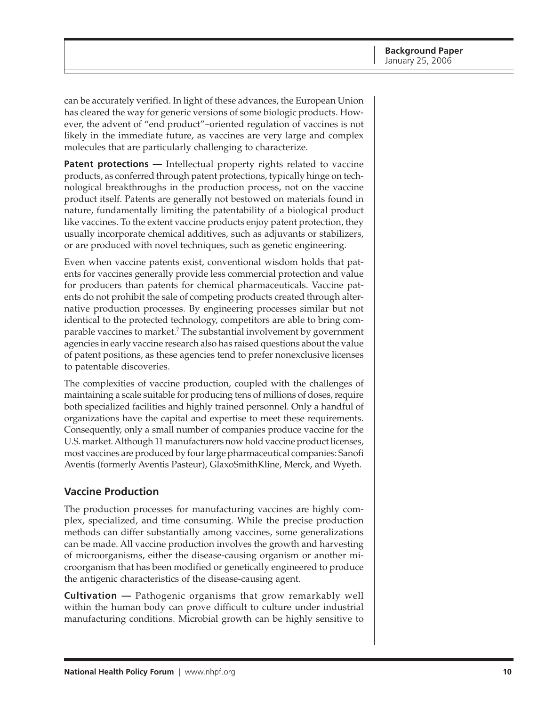<span id="page-9-0"></span>can be accurately verified. In light of these advances, the European Union has cleared the way for generic versions of some biologic products. However, the advent of "end product"–oriented regulation of vaccines is not likely in the immediate future, as vaccines are very large and complex molecules that are particularly challenging to characterize.

Patent protections - Intellectual property rights related to vaccine products, as conferred through patent protections, typically hinge on technological breakthroughs in the production process, not on the vaccine product itself. Patents are generally not bestowed on materials found in nature, fundamentally limiting the patentability of a biological product like vaccines. To the extent vaccine products enjoy patent protection, they usually incorporate chemical additives, such as adjuvants or stabilizers, or are produced with novel techniques, such as genetic engineering.

Even when vaccine patents exist, conventional wisdom holds that patents for vaccines generally provide less commercial protection and value for producers than patents for chemical pharmaceuticals. Vaccine patents do not prohibit the sale of competing products created through alternative production processes. By engineering processes similar but not identical to the protected technology, competitors are able to bring comparable vaccines to market.7 The substantial involvement by government agencies in early vaccine research also has raised questions about the value of patent positions, as these agencies tend to prefer nonexclusive licenses to patentable discoveries.

The complexities of vaccine production, coupled with the challenges of maintaining a scale suitable for producing tens of millions of doses, require both specialized facilities and highly trained personnel. Only a handful of organizations have the capital and expertise to meet these requirements. Consequently, only a small number of companies produce vaccine for the U.S. market. Although 11 manufacturers now hold vaccine product licenses, most vaccines are produced by four large pharmaceutical companies: Sanofi Aventis (formerly Aventis Pasteur), GlaxoSmithKline, Merck, and Wyeth.

### **Vaccine Production**

The production processes for manufacturing vaccines are highly complex, specialized, and time consuming. While the precise production methods can differ substantially among vaccines, some generalizations can be made. All vaccine production involves the growth and harvesting of microorganisms, either the disease-causing organism or another microorganism that has been modified or genetically engineered to produce the antigenic characteristics of the disease-causing agent.

**Cultivation —** Pathogenic organisms that grow remarkably well within the human body can prove difficult to culture under industrial manufacturing conditions. Microbial growth can be highly sensitive to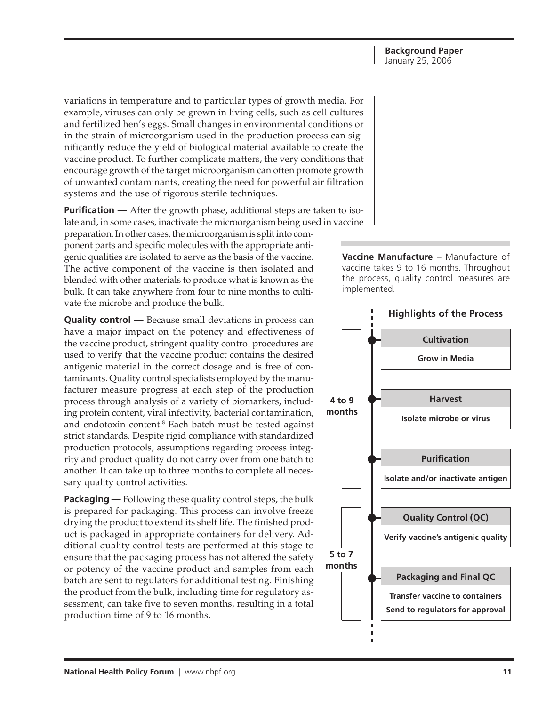variations in temperature and to particular types of growth media. For example, viruses can only be grown in living cells, such as cell cultures and fertilized hen's eggs. Small changes in environmental conditions or in the strain of microorganism used in the production process can significantly reduce the yield of biological material available to create the vaccine product. To further complicate matters, the very conditions that encourage growth of the target microorganism can often promote growth of unwanted contaminants, creating the need for powerful air filtration systems and the use of rigorous sterile techniques.

**Purification** — After the growth phase, additional steps are taken to isolate and, in some cases, inactivate the microorganism being used in vaccine

preparation. In other cases, the microorganism is split into component parts and specific molecules with the appropriate antigenic qualities are isolated to serve as the basis of the vaccine. The active component of the vaccine is then isolated and blended with other materials to produce what is known as the bulk. It can take anywhere from four to nine months to cultivate the microbe and produce the bulk.

**Quality control —** Because small deviations in process can have a major impact on the potency and effectiveness of the vaccine product, stringent quality control procedures are used to verify that the vaccine product contains the desired antigenic material in the correct dosage and is free of contaminants. Quality control specialists employed by the manufacturer measure progress at each step of the production process through analysis of a variety of biomarkers, including protein content, viral infectivity, bacterial contamination, and endotoxin content.<sup>8</sup> Each batch must be tested against strict standards. Despite rigid compliance with standardized production protocols, assumptions regarding process integrity and product quality do not carry over from one batch to another. It can take up to three months to complete all necessary quality control activities.

**Packaging —** Following these quality control steps, the bulk is prepared for packaging. This process can involve freeze drying the product to extend its shelf life. The finished product is packaged in appropriate containers for delivery. Additional quality control tests are performed at this stage to ensure that the packaging process has not altered the safety or potency of the vaccine product and samples from each batch are sent to regulators for additional testing. Finishing the product from the bulk, including time for regulatory assessment, can take five to seven months, resulting in a total production time of 9 to 16 months.



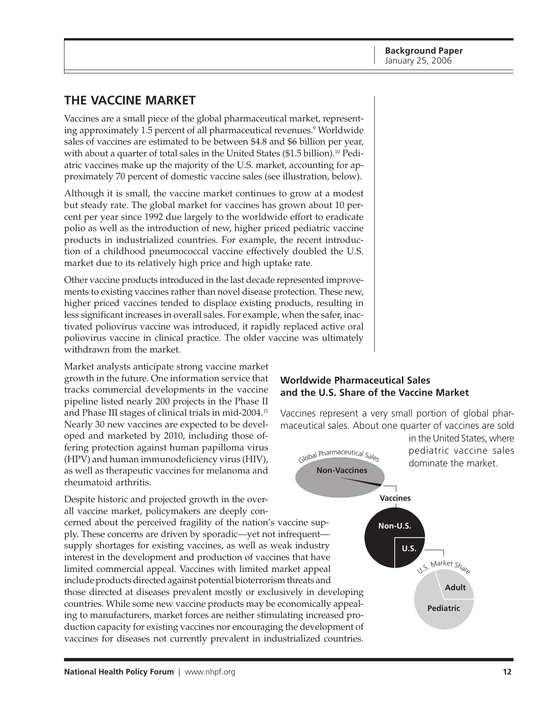**Background Paper** January 25, 2006

# <span id="page-11-0"></span>**THE VACCINE MARKET**

Vaccines are a small piece of the global pharmaceutical market, representing approximately 1.5 percent of all pharmaceutical revenues.9 Worldwide sales of vaccines are estimated to be between \$4.8 and \$6 billion per year, with about a quarter of total sales in the United States (\$1.5 billion).10 Pediatric vaccines make up the majority of the U.S. market, accounting for approximately 70 percent of domestic vaccine sales (see illustration, below).

Although it is small, the vaccine market continues to grow at a modest but steady rate. The global market for vaccines has grown about 10 percent per year since 1992 due largely to the worldwide effort to eradicate polio as well as the introduction of new, higher priced pediatric vaccine products in industrialized countries. For example, the recent introduction of a childhood pneumococcal vaccine effectively doubled the U.S. market due to its relatively high price and high uptake rate.

Other vaccine products introduced in the last decade represented improvements to existing vaccines rather than novel disease protection. These new, higher priced vaccines tended to displace existing products, resulting in less significant increases in overall sales. For example, when the safer, inactivated poliovirus vaccine was introduced, it rapidly replaced active oral poliovirus vaccine in clinical practice. The older vaccine was ultimately withdrawn from the market.

Market analysts anticipate strong vaccine market growth in the future. One information service that tracks commercial developments in the vaccine pipeline listed nearly 200 projects in the Phase II and Phase III stages of clinical trials in mid-2004.11 Nearly 30 new vaccines are expected to be developed and marketed by 2010, including those offering protection against human papilloma virus (HPV) and human immunodeficiency virus (HIV), as well as therapeutic vaccines for melanoma and rheumatoid arthritis.

Despite historic and projected growth in the overall vaccine market, policymakers are deeply con-

cerned about the perceived fragility of the nation's vaccine supply. These concerns are driven by sporadic—yet not infrequent supply shortages for existing vaccines, as well as weak industry interest in the development and production of vaccines that have limited commercial appeal. Vaccines with limited market appeal include products directed against potential bioterrorism threats and those directed at diseases prevalent mostly or exclusively in developing countries. While some new vaccine products may be economically appealing to manufacturers, market forces are neither stimulating increased production capacity for existing vaccines nor encouraging the development of vaccines for diseases not currently prevalent in industrialized countries.

#### **Worldwide Pharmaceutical Sales and the U.S. Share of the Vaccine Market**

Vaccines represent a very small portion of global pharmaceutical sales. About one quarter of vaccines are sold in the United States, where

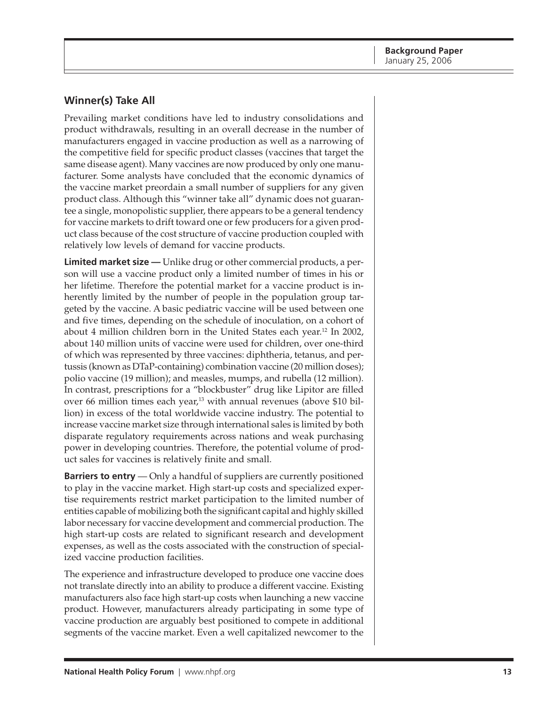## <span id="page-12-0"></span>**Winner(s) Take All**

Prevailing market conditions have led to industry consolidations and product withdrawals, resulting in an overall decrease in the number of manufacturers engaged in vaccine production as well as a narrowing of the competitive field for specific product classes (vaccines that target the same disease agent). Many vaccines are now produced by only one manufacturer. Some analysts have concluded that the economic dynamics of the vaccine market preordain a small number of suppliers for any given product class. Although this "winner take all" dynamic does not guarantee a single, monopolistic supplier, there appears to be a general tendency for vaccine markets to drift toward one or few producers for a given product class because of the cost structure of vaccine production coupled with relatively low levels of demand for vaccine products.

**Limited market size —** Unlike drug or other commercial products, a person will use a vaccine product only a limited number of times in his or her lifetime. Therefore the potential market for a vaccine product is inherently limited by the number of people in the population group targeted by the vaccine. A basic pediatric vaccine will be used between one and five times, depending on the schedule of inoculation, on a cohort of about 4 million children born in the United States each year.12 In 2002, about 140 million units of vaccine were used for children, over one-third of which was represented by three vaccines: diphtheria, tetanus, and pertussis (known as DTaP-containing) combination vaccine (20 million doses); polio vaccine (19 million); and measles, mumps, and rubella (12 million). In contrast, prescriptions for a "blockbuster" drug like Lipitor are filled over 66 million times each year, $13$  with annual revenues (above \$10 billion) in excess of the total worldwide vaccine industry. The potential to increase vaccine market size through international sales is limited by both disparate regulatory requirements across nations and weak purchasing power in developing countries. Therefore, the potential volume of product sales for vaccines is relatively finite and small.

**Barriers to entry** — Only a handful of suppliers are currently positioned to play in the vaccine market. High start-up costs and specialized expertise requirements restrict market participation to the limited number of entities capable of mobilizing both the significant capital and highly skilled labor necessary for vaccine development and commercial production. The high start-up costs are related to significant research and development expenses, as well as the costs associated with the construction of specialized vaccine production facilities.

The experience and infrastructure developed to produce one vaccine does not translate directly into an ability to produce a different vaccine. Existing manufacturers also face high start-up costs when launching a new vaccine product. However, manufacturers already participating in some type of vaccine production are arguably best positioned to compete in additional segments of the vaccine market. Even a well capitalized newcomer to the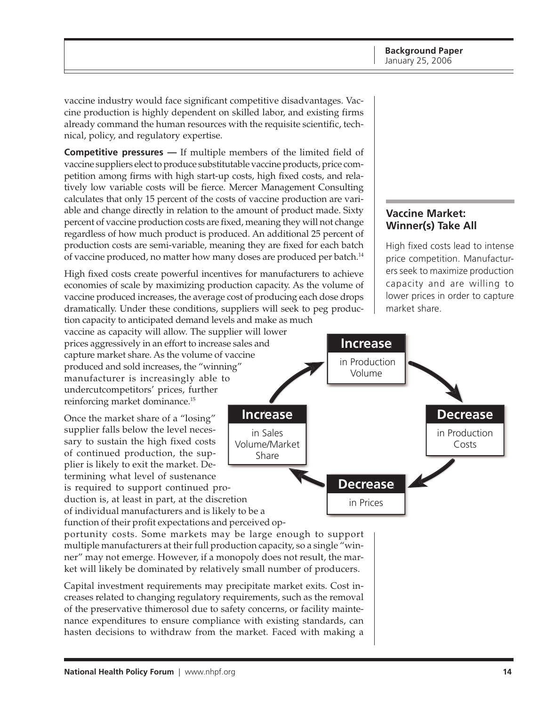vaccine industry would face significant competitive disadvantages. Vaccine production is highly dependent on skilled labor, and existing firms already command the human resources with the requisite scientific, technical, policy, and regulatory expertise.

**Competitive pressures —** If multiple members of the limited field of vaccine suppliers elect to produce substitutable vaccine products, price competition among firms with high start-up costs, high fixed costs, and relatively low variable costs will be fierce. Mercer Management Consulting calculates that only 15 percent of the costs of vaccine production are variable and change directly in relation to the amount of product made. Sixty percent of vaccine production costs are fixed, meaning they will not change regardless of how much product is produced. An additional 25 percent of production costs are semi-variable, meaning they are fixed for each batch of vaccine produced, no matter how many doses are produced per batch.<sup>14</sup>

High fixed costs create powerful incentives for manufacturers to achieve economies of scale by maximizing production capacity. As the volume of vaccine produced increases, the average cost of producing each dose drops dramatically. Under these conditions, suppliers will seek to peg production capacity to anticipated demand levels and make as much

vaccine as capacity will allow. The supplier will lower prices aggressively in an effort to increase sales and capture market share. As the volume of vaccine produced and sold increases, the "winning" manufacturer is increasingly able to undercutcompetitors' prices, further reinforcing market dominance.15

Once the market share of a "losing" supplier falls below the level necessary to sustain the high fixed costs of continued production, the supplier is likely to exit the market. Determining what level of sustenance is required to support continued pro-

duction is, at least in part, at the discretion of individual manufacturers and is likely to be a function of their profit expectations and perceived op-

portunity costs. Some markets may be large enough to support multiple manufacturers at their full production capacity, so a single "winner" may not emerge. However, if a monopoly does not result, the market will likely be dominated by relatively small number of producers.

Capital investment requirements may precipitate market exits. Cost increases related to changing regulatory requirements, such as the removal of the preservative thimerosol due to safety concerns, or facility maintenance expenditures to ensure compliance with existing standards, can hasten decisions to withdraw from the market. Faced with making a

## **Vaccine Market: Winner(s) Take All**

High fixed costs lead to intense price competition. Manufacturers seek to maximize production capacity and are willing to lower prices in order to capture market share.

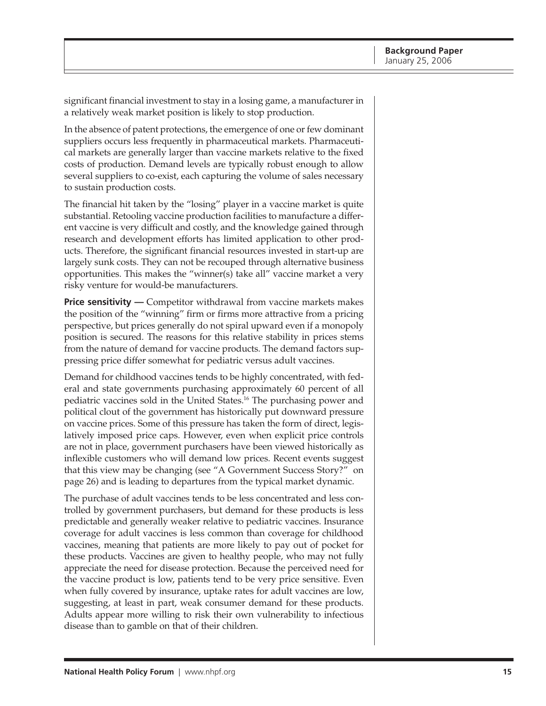significant financial investment to stay in a losing game, a manufacturer in a relatively weak market position is likely to stop production.

In the absence of patent protections, the emergence of one or few dominant suppliers occurs less frequently in pharmaceutical markets. Pharmaceutical markets are generally larger than vaccine markets relative to the fixed costs of production. Demand levels are typically robust enough to allow several suppliers to co-exist, each capturing the volume of sales necessary to sustain production costs.

The financial hit taken by the "losing" player in a vaccine market is quite substantial. Retooling vaccine production facilities to manufacture a different vaccine is very difficult and costly, and the knowledge gained through research and development efforts has limited application to other products. Therefore, the significant financial resources invested in start-up are largely sunk costs. They can not be recouped through alternative business opportunities. This makes the "winner(s) take all" vaccine market a very risky venture for would-be manufacturers.

**Price sensitivity** — Competitor withdrawal from vaccine markets makes the position of the "winning" firm or firms more attractive from a pricing perspective, but prices generally do not spiral upward even if a monopoly position is secured. The reasons for this relative stability in prices stems from the nature of demand for vaccine products. The demand factors suppressing price differ somewhat for pediatric versus adult vaccines.

Demand for childhood vaccines tends to be highly concentrated, with federal and state governments purchasing approximately 60 percent of all pediatric vaccines sold in the United States.16 The purchasing power and political clout of the government has historically put downward pressure on vaccine prices. Some of this pressure has taken the form of direct, legislatively imposed price caps. However, even when explicit price controls are not in place, government purchasers have been viewed historically as inflexible customers who will demand low prices. Recent events suggest that this view may be changing (see "A Government Success Story?" on page 26) and is leading to departures from the typical market dynamic.

The purchase of adult vaccines tends to be less concentrated and less controlled by government purchasers, but demand for these products is less predictable and generally weaker relative to pediatric vaccines. Insurance coverage for adult vaccines is less common than coverage for childhood vaccines, meaning that patients are more likely to pay out of pocket for these products. Vaccines are given to healthy people, who may not fully appreciate the need for disease protection. Because the perceived need for the vaccine product is low, patients tend to be very price sensitive. Even when fully covered by insurance, uptake rates for adult vaccines are low, suggesting, at least in part, weak consumer demand for these products. Adults appear more willing to risk their own vulnerability to infectious disease than to gamble on that of their children.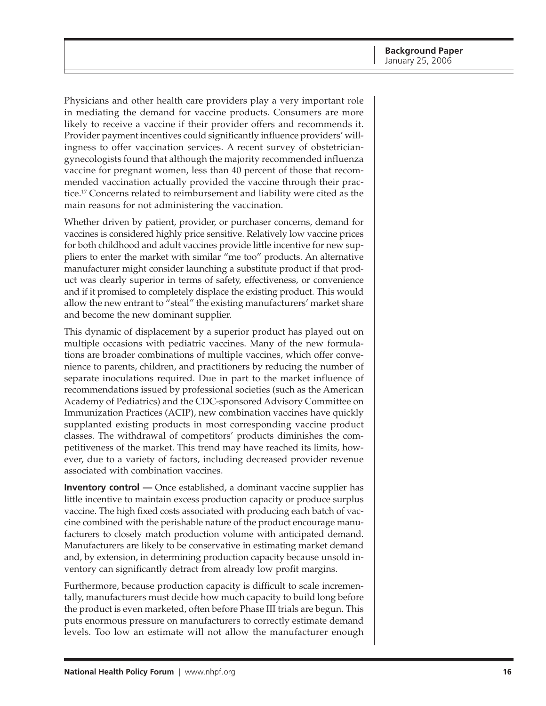Physicians and other health care providers play a very important role in mediating the demand for vaccine products. Consumers are more likely to receive a vaccine if their provider offers and recommends it. Provider payment incentives could significantly influence providers' willingness to offer vaccination services. A recent survey of obstetriciangynecologists found that although the majority recommended influenza vaccine for pregnant women, less than 40 percent of those that recommended vaccination actually provided the vaccine through their practice.17 Concerns related to reimbursement and liability were cited as the main reasons for not administering the vaccination.

Whether driven by patient, provider, or purchaser concerns, demand for vaccines is considered highly price sensitive. Relatively low vaccine prices for both childhood and adult vaccines provide little incentive for new suppliers to enter the market with similar "me too" products. An alternative manufacturer might consider launching a substitute product if that product was clearly superior in terms of safety, effectiveness, or convenience and if it promised to completely displace the existing product. This would allow the new entrant to "steal" the existing manufacturers' market share and become the new dominant supplier.

This dynamic of displacement by a superior product has played out on multiple occasions with pediatric vaccines. Many of the new formulations are broader combinations of multiple vaccines, which offer convenience to parents, children, and practitioners by reducing the number of separate inoculations required. Due in part to the market influence of recommendations issued by professional societies (such as the American Academy of Pediatrics) and the CDC-sponsored Advisory Committee on Immunization Practices (ACIP), new combination vaccines have quickly supplanted existing products in most corresponding vaccine product classes. The withdrawal of competitors' products diminishes the competitiveness of the market. This trend may have reached its limits, however, due to a variety of factors, including decreased provider revenue associated with combination vaccines.

**Inventory control** — Once established, a dominant vaccine supplier has little incentive to maintain excess production capacity or produce surplus vaccine. The high fixed costs associated with producing each batch of vaccine combined with the perishable nature of the product encourage manufacturers to closely match production volume with anticipated demand. Manufacturers are likely to be conservative in estimating market demand and, by extension, in determining production capacity because unsold inventory can significantly detract from already low profit margins.

Furthermore, because production capacity is difficult to scale incrementally, manufacturers must decide how much capacity to build long before the product is even marketed, often before Phase III trials are begun. This puts enormous pressure on manufacturers to correctly estimate demand levels. Too low an estimate will not allow the manufacturer enough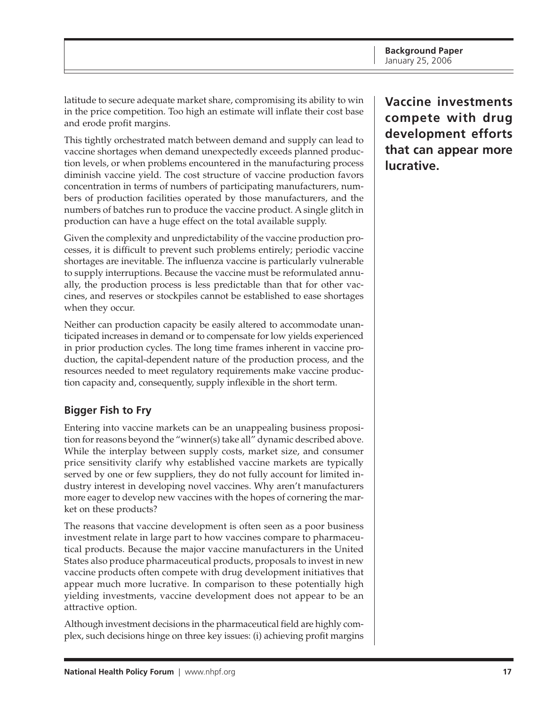<span id="page-16-0"></span>latitude to secure adequate market share, compromising its ability to win in the price competition. Too high an estimate will inflate their cost base and erode profit margins.

This tightly orchestrated match between demand and supply can lead to vaccine shortages when demand unexpectedly exceeds planned production levels, or when problems encountered in the manufacturing process diminish vaccine yield. The cost structure of vaccine production favors concentration in terms of numbers of participating manufacturers, numbers of production facilities operated by those manufacturers, and the numbers of batches run to produce the vaccine product. A single glitch in production can have a huge effect on the total available supply.

Given the complexity and unpredictability of the vaccine production processes, it is difficult to prevent such problems entirely; periodic vaccine shortages are inevitable. The influenza vaccine is particularly vulnerable to supply interruptions. Because the vaccine must be reformulated annually, the production process is less predictable than that for other vaccines, and reserves or stockpiles cannot be established to ease shortages when they occur.

Neither can production capacity be easily altered to accommodate unanticipated increases in demand or to compensate for low yields experienced in prior production cycles. The long time frames inherent in vaccine production, the capital-dependent nature of the production process, and the resources needed to meet regulatory requirements make vaccine production capacity and, consequently, supply inflexible in the short term.

# **Bigger Fish to Fry**

Entering into vaccine markets can be an unappealing business proposition for reasons beyond the "winner(s) take all" dynamic described above. While the interplay between supply costs, market size, and consumer price sensitivity clarify why established vaccine markets are typically served by one or few suppliers, they do not fully account for limited industry interest in developing novel vaccines. Why aren't manufacturers more eager to develop new vaccines with the hopes of cornering the market on these products?

The reasons that vaccine development is often seen as a poor business investment relate in large part to how vaccines compare to pharmaceutical products. Because the major vaccine manufacturers in the United States also produce pharmaceutical products, proposals to invest in new vaccine products often compete with drug development initiatives that appear much more lucrative. In comparison to these potentially high yielding investments, vaccine development does not appear to be an attractive option.

Although investment decisions in the pharmaceutical field are highly complex, such decisions hinge on three key issues: (i) achieving profit margins **Vaccine investments compete with drug development efforts that can appear more lucrative.**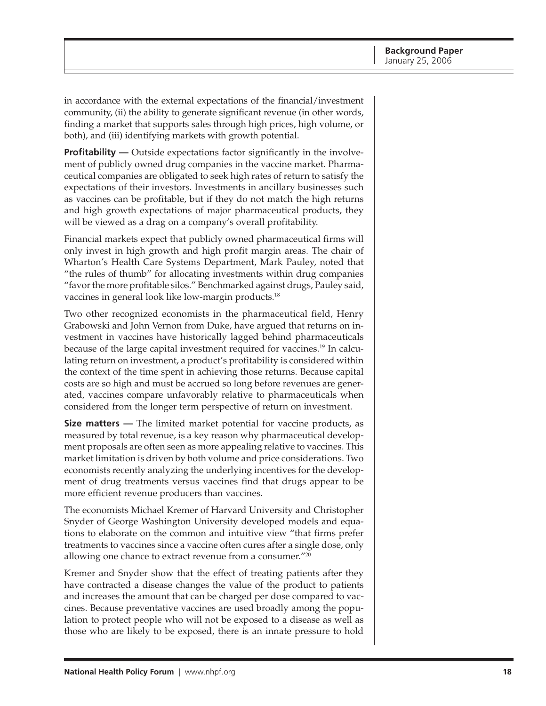in accordance with the external expectations of the financial/investment community, (ii) the ability to generate significant revenue (in other words, finding a market that supports sales through high prices, high volume, or both), and (iii) identifying markets with growth potential.

**Profitability** — Outside expectations factor significantly in the involvement of publicly owned drug companies in the vaccine market. Pharmaceutical companies are obligated to seek high rates of return to satisfy the expectations of their investors. Investments in ancillary businesses such as vaccines can be profitable, but if they do not match the high returns and high growth expectations of major pharmaceutical products, they will be viewed as a drag on a company's overall profitability.

Financial markets expect that publicly owned pharmaceutical firms will only invest in high growth and high profit margin areas. The chair of Wharton's Health Care Systems Department, Mark Pauley, noted that "the rules of thumb" for allocating investments within drug companies "favor the more profitable silos." Benchmarked against drugs, Pauley said, vaccines in general look like low-margin products.<sup>18</sup>

Two other recognized economists in the pharmaceutical field, Henry Grabowski and John Vernon from Duke, have argued that returns on investment in vaccines have historically lagged behind pharmaceuticals because of the large capital investment required for vaccines.19 In calculating return on investment, a product's profitability is considered within the context of the time spent in achieving those returns. Because capital costs are so high and must be accrued so long before revenues are generated, vaccines compare unfavorably relative to pharmaceuticals when considered from the longer term perspective of return on investment.

**Size matters —** The limited market potential for vaccine products, as measured by total revenue, is a key reason why pharmaceutical development proposals are often seen as more appealing relative to vaccines. This market limitation is driven by both volume and price considerations. Two economists recently analyzing the underlying incentives for the development of drug treatments versus vaccines find that drugs appear to be more efficient revenue producers than vaccines.

The economists Michael Kremer of Harvard University and Christopher Snyder of George Washington University developed models and equations to elaborate on the common and intuitive view "that firms prefer treatments to vaccines since a vaccine often cures after a single dose, only allowing one chance to extract revenue from a consumer."20

Kremer and Snyder show that the effect of treating patients after they have contracted a disease changes the value of the product to patients and increases the amount that can be charged per dose compared to vaccines. Because preventative vaccines are used broadly among the population to protect people who will not be exposed to a disease as well as those who are likely to be exposed, there is an innate pressure to hold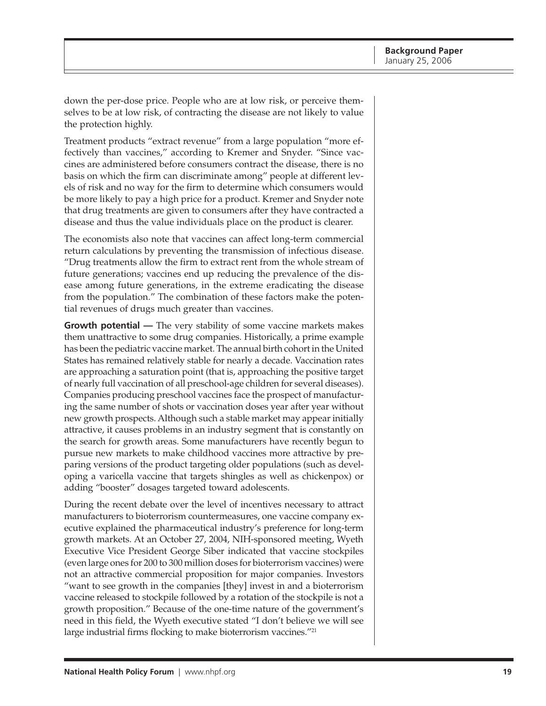down the per-dose price. People who are at low risk, or perceive themselves to be at low risk, of contracting the disease are not likely to value the protection highly.

Treatment products "extract revenue" from a large population "more effectively than vaccines," according to Kremer and Snyder. "Since vaccines are administered before consumers contract the disease, there is no basis on which the firm can discriminate among" people at different levels of risk and no way for the firm to determine which consumers would be more likely to pay a high price for a product. Kremer and Snyder note that drug treatments are given to consumers after they have contracted a disease and thus the value individuals place on the product is clearer.

The economists also note that vaccines can affect long-term commercial return calculations by preventing the transmission of infectious disease. "Drug treatments allow the firm to extract rent from the whole stream of future generations; vaccines end up reducing the prevalence of the disease among future generations, in the extreme eradicating the disease from the population." The combination of these factors make the potential revenues of drugs much greater than vaccines.

**Growth potential —** The very stability of some vaccine markets makes them unattractive to some drug companies. Historically, a prime example has been the pediatric vaccine market. The annual birth cohort in the United States has remained relatively stable for nearly a decade. Vaccination rates are approaching a saturation point (that is, approaching the positive target of nearly full vaccination of all preschool-age children for several diseases). Companies producing preschool vaccines face the prospect of manufacturing the same number of shots or vaccination doses year after year without new growth prospects. Although such a stable market may appear initially attractive, it causes problems in an industry segment that is constantly on the search for growth areas. Some manufacturers have recently begun to pursue new markets to make childhood vaccines more attractive by preparing versions of the product targeting older populations (such as developing a varicella vaccine that targets shingles as well as chickenpox) or adding "booster" dosages targeted toward adolescents.

During the recent debate over the level of incentives necessary to attract manufacturers to bioterrorism countermeasures, one vaccine company executive explained the pharmaceutical industry's preference for long-term growth markets. At an October 27, 2004, NIH-sponsored meeting, Wyeth Executive Vice President George Siber indicated that vaccine stockpiles (even large ones for 200 to 300 million doses for bioterrorism vaccines) were not an attractive commercial proposition for major companies. Investors "want to see growth in the companies [they] invest in and a bioterrorism vaccine released to stockpile followed by a rotation of the stockpile is not a growth proposition." Because of the one-time nature of the government's need in this field, the Wyeth executive stated "I don't believe we will see large industrial firms flocking to make bioterrorism vaccines."<sup>21</sup>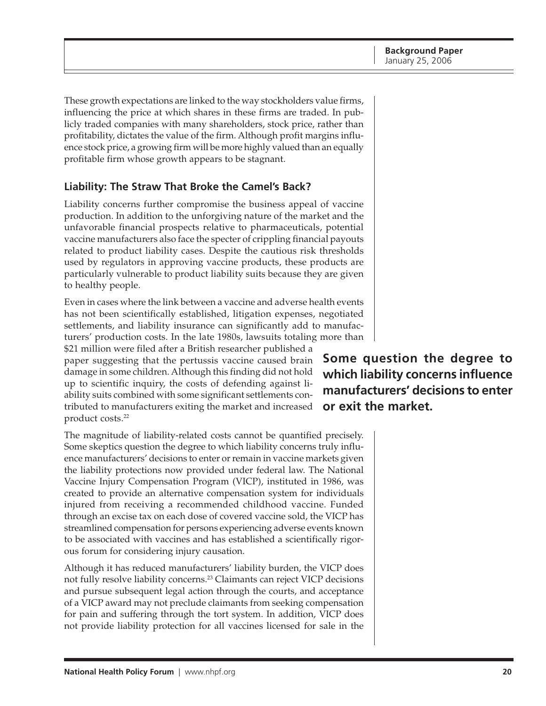<span id="page-19-0"></span>These growth expectations are linked to the way stockholders value firms, influencing the price at which shares in these firms are traded. In publicly traded companies with many shareholders, stock price, rather than profitability, dictates the value of the firm. Although profit margins influence stock price, a growing firm will be more highly valued than an equally profitable firm whose growth appears to be stagnant.

# **Liability: The Straw That Broke the Camel's Back?**

Liability concerns further compromise the business appeal of vaccine production. In addition to the unforgiving nature of the market and the unfavorable financial prospects relative to pharmaceuticals, potential vaccine manufacturers also face the specter of crippling financial payouts related to product liability cases. Despite the cautious risk thresholds used by regulators in approving vaccine products, these products are particularly vulnerable to product liability suits because they are given to healthy people.

Even in cases where the link between a vaccine and adverse health events has not been scientifically established, litigation expenses, negotiated settlements, and liability insurance can significantly add to manufacturers' production costs. In the late 1980s, lawsuits totaling more than \$21 million were filed after a British researcher published a

paper suggesting that the pertussis vaccine caused brain damage in some children. Although this finding did not hold up to scientific inquiry, the costs of defending against liability suits combined with some significant settlements contributed to manufacturers exiting the market and increased product costs.22

The magnitude of liability-related costs cannot be quantified precisely. Some skeptics question the degree to which liability concerns truly influence manufacturers' decisions to enter or remain in vaccine markets given the liability protections now provided under federal law. The National Vaccine Injury Compensation Program (VICP), instituted in 1986, was created to provide an alternative compensation system for individuals injured from receiving a recommended childhood vaccine. Funded through an excise tax on each dose of covered vaccine sold, the VICP has streamlined compensation for persons experiencing adverse events known to be associated with vaccines and has established a scientifically rigorous forum for considering injury causation.

Although it has reduced manufacturers' liability burden, the VICP does not fully resolve liability concerns.<sup>23</sup> Claimants can reject VICP decisions and pursue subsequent legal action through the courts, and acceptance of a VICP award may not preclude claimants from seeking compensation for pain and suffering through the tort system. In addition, VICP does not provide liability protection for all vaccines licensed for sale in the

**Some question the degree to which liability concerns influence manufacturers' decisions to enter or exit the market.**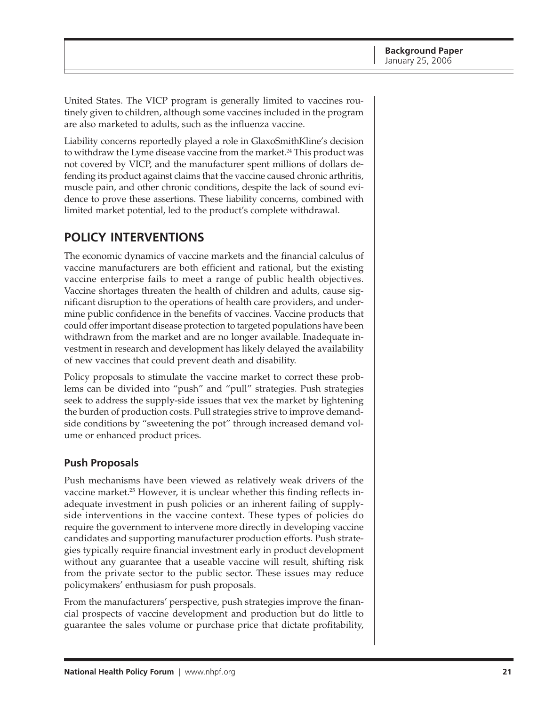<span id="page-20-0"></span>United States. The VICP program is generally limited to vaccines routinely given to children, although some vaccines included in the program are also marketed to adults, such as the influenza vaccine.

Liability concerns reportedly played a role in GlaxoSmithKline's decision to withdraw the Lyme disease vaccine from the market.<sup>24</sup> This product was not covered by VICP, and the manufacturer spent millions of dollars defending its product against claims that the vaccine caused chronic arthritis, muscle pain, and other chronic conditions, despite the lack of sound evidence to prove these assertions. These liability concerns, combined with limited market potential, led to the product's complete withdrawal.

# **POLICY INTERVENTIONS**

The economic dynamics of vaccine markets and the financial calculus of vaccine manufacturers are both efficient and rational, but the existing vaccine enterprise fails to meet a range of public health objectives. Vaccine shortages threaten the health of children and adults, cause significant disruption to the operations of health care providers, and undermine public confidence in the benefits of vaccines. Vaccine products that could offer important disease protection to targeted populations have been withdrawn from the market and are no longer available. Inadequate investment in research and development has likely delayed the availability of new vaccines that could prevent death and disability.

Policy proposals to stimulate the vaccine market to correct these problems can be divided into "push" and "pull" strategies. Push strategies seek to address the supply-side issues that vex the market by lightening the burden of production costs. Pull strategies strive to improve demandside conditions by "sweetening the pot" through increased demand volume or enhanced product prices.

### **Push Proposals**

Push mechanisms have been viewed as relatively weak drivers of the vaccine market.<sup>25</sup> However, it is unclear whether this finding reflects inadequate investment in push policies or an inherent failing of supplyside interventions in the vaccine context. These types of policies do require the government to intervene more directly in developing vaccine candidates and supporting manufacturer production efforts. Push strategies typically require financial investment early in product development without any guarantee that a useable vaccine will result, shifting risk from the private sector to the public sector. These issues may reduce policymakers' enthusiasm for push proposals.

From the manufacturers' perspective, push strategies improve the financial prospects of vaccine development and production but do little to guarantee the sales volume or purchase price that dictate profitability,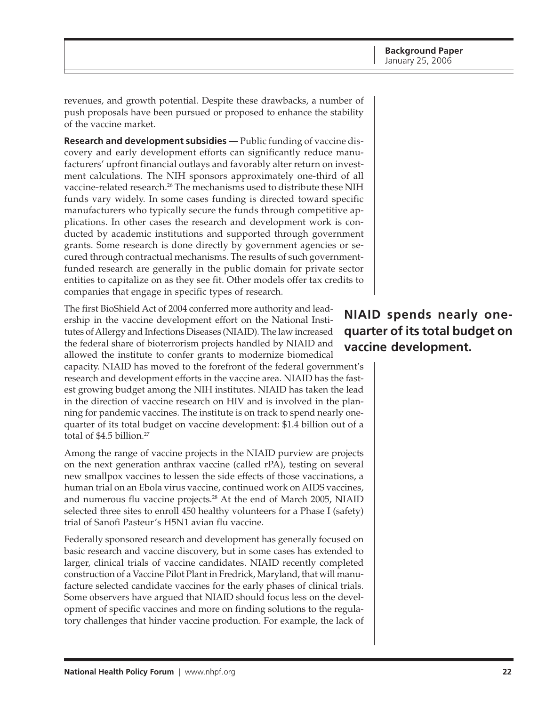<span id="page-21-0"></span>revenues, and growth potential. Despite these drawbacks, a number of push proposals have been pursued or proposed to enhance the stability of the vaccine market.

**Research and development subsidies —** Public funding of vaccine discovery and early development efforts can significantly reduce manufacturers' upfront financial outlays and favorably alter return on investment calculations. The NIH sponsors approximately one-third of all vaccine-related research.26 The mechanisms used to distribute these NIH funds vary widely. In some cases funding is directed toward specific manufacturers who typically secure the funds through competitive applications. In other cases the research and development work is conducted by academic institutions and supported through government grants. Some research is done directly by government agencies or secured through contractual mechanisms. The results of such governmentfunded research are generally in the public domain for private sector entities to capitalize on as they see fit. Other models offer tax credits to companies that engage in specific types of research.

The first BioShield Act of 2004 conferred more authority and leadership in the vaccine development effort on the National Institutes of Allergy and Infections Diseases (NIAID). The law increased the federal share of bioterrorism projects handled by NIAID and allowed the institute to confer grants to modernize biomedical

capacity. NIAID has moved to the forefront of the federal government's research and development efforts in the vaccine area. NIAID has the fastest growing budget among the NIH institutes. NIAID has taken the lead in the direction of vaccine research on HIV and is involved in the planning for pandemic vaccines. The institute is on track to spend nearly onequarter of its total budget on vaccine development: \$1.4 billion out of a total of \$4.5 billion.<sup>27</sup>

Among the range of vaccine projects in the NIAID purview are projects on the next generation anthrax vaccine (called rPA), testing on several new smallpox vaccines to lessen the side effects of those vaccinations, a human trial on an Ebola virus vaccine, continued work on AIDS vaccines, and numerous flu vaccine projects.<sup>28</sup> At the end of March 2005, NIAID selected three sites to enroll 450 healthy volunteers for a Phase I (safety) trial of Sanofi Pasteur's H5N1 avian flu vaccine.

Federally sponsored research and development has generally focused on basic research and vaccine discovery, but in some cases has extended to larger, clinical trials of vaccine candidates. NIAID recently completed construction of a Vaccine Pilot Plant in Fredrick, Maryland, that will manufacture selected candidate vaccines for the early phases of clinical trials. Some observers have argued that NIAID should focus less on the development of specific vaccines and more on finding solutions to the regulatory challenges that hinder vaccine production. For example, the lack of

# **NIAID spends nearly onequarter of its total budget on vaccine development.**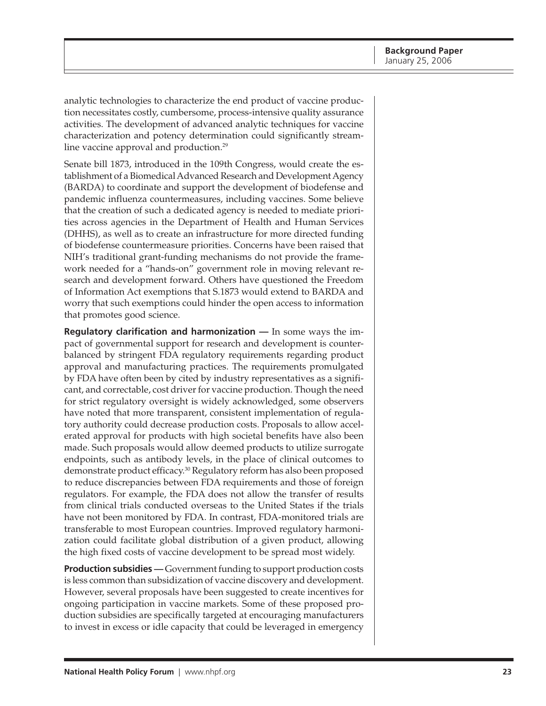analytic technologies to characterize the end product of vaccine production necessitates costly, cumbersome, process-intensive quality assurance activities. The development of advanced analytic techniques for vaccine characterization and potency determination could significantly streamline vaccine approval and production.<sup>29</sup>

Senate bill 1873, introduced in the 109th Congress, would create the establishment of a Biomedical Advanced Research and Development Agency (BARDA) to coordinate and support the development of biodefense and pandemic influenza countermeasures, including vaccines. Some believe that the creation of such a dedicated agency is needed to mediate priorities across agencies in the Department of Health and Human Services (DHHS), as well as to create an infrastructure for more directed funding of biodefense countermeasure priorities. Concerns have been raised that NIH's traditional grant-funding mechanisms do not provide the framework needed for a "hands-on" government role in moving relevant research and development forward. Others have questioned the Freedom of Information Act exemptions that S.1873 would extend to BARDA and worry that such exemptions could hinder the open access to information that promotes good science.

**Regulatory clarification and harmonization —** In some ways the impact of governmental support for research and development is counterbalanced by stringent FDA regulatory requirements regarding product approval and manufacturing practices. The requirements promulgated by FDA have often been by cited by industry representatives as a significant, and correctable, cost driver for vaccine production. Though the need for strict regulatory oversight is widely acknowledged, some observers have noted that more transparent, consistent implementation of regulatory authority could decrease production costs. Proposals to allow accelerated approval for products with high societal benefits have also been made. Such proposals would allow deemed products to utilize surrogate endpoints, such as antibody levels, in the place of clinical outcomes to demonstrate product efficacy.30 Regulatory reform has also been proposed to reduce discrepancies between FDA requirements and those of foreign regulators. For example, the FDA does not allow the transfer of results from clinical trials conducted overseas to the United States if the trials have not been monitored by FDA. In contrast, FDA-monitored trials are transferable to most European countries. Improved regulatory harmonization could facilitate global distribution of a given product, allowing the high fixed costs of vaccine development to be spread most widely.

**Production subsidies —** Government funding to support production costs is less common than subsidization of vaccine discovery and development. However, several proposals have been suggested to create incentives for ongoing participation in vaccine markets. Some of these proposed production subsidies are specifically targeted at encouraging manufacturers to invest in excess or idle capacity that could be leveraged in emergency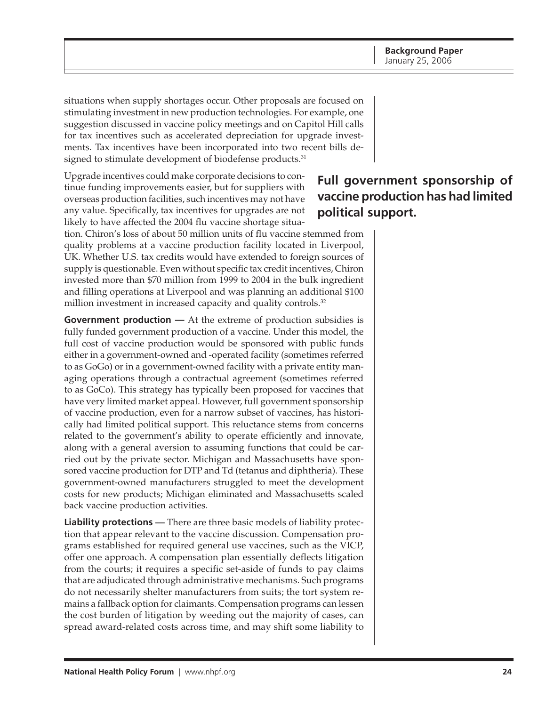situations when supply shortages occur. Other proposals are focused on stimulating investment in new production technologies. For example, one suggestion discussed in vaccine policy meetings and on Capitol Hill calls for tax incentives such as accelerated depreciation for upgrade investments. Tax incentives have been incorporated into two recent bills designed to stimulate development of biodefense products.<sup>31</sup>

Upgrade incentives could make corporate decisions to continue funding improvements easier, but for suppliers with overseas production facilities, such incentives may not have any value. Specifically, tax incentives for upgrades are not likely to have affected the 2004 flu vaccine shortage situa-

tion. Chiron's loss of about 50 million units of flu vaccine stemmed from quality problems at a vaccine production facility located in Liverpool, UK. Whether U.S. tax credits would have extended to foreign sources of supply is questionable. Even without specific tax credit incentives, Chiron invested more than \$70 million from 1999 to 2004 in the bulk ingredient and filling operations at Liverpool and was planning an additional \$100 million investment in increased capacity and quality controls.<sup>32</sup>

**Government production** — At the extreme of production subsidies is fully funded government production of a vaccine. Under this model, the full cost of vaccine production would be sponsored with public funds either in a government-owned and -operated facility (sometimes referred to as GoGo) or in a government-owned facility with a private entity managing operations through a contractual agreement (sometimes referred to as GoCo). This strategy has typically been proposed for vaccines that have very limited market appeal. However, full government sponsorship of vaccine production, even for a narrow subset of vaccines, has historically had limited political support. This reluctance stems from concerns related to the government's ability to operate efficiently and innovate, along with a general aversion to assuming functions that could be carried out by the private sector. Michigan and Massachusetts have sponsored vaccine production for DTP and Td (tetanus and diphtheria). These government-owned manufacturers struggled to meet the development costs for new products; Michigan eliminated and Massachusetts scaled back vaccine production activities.

**Liability protections —** There are three basic models of liability protection that appear relevant to the vaccine discussion. Compensation programs established for required general use vaccines, such as the VICP, offer one approach. A compensation plan essentially deflects litigation from the courts; it requires a specific set-aside of funds to pay claims that are adjudicated through administrative mechanisms. Such programs do not necessarily shelter manufacturers from suits; the tort system remains a fallback option for claimants. Compensation programs can lessen the cost burden of litigation by weeding out the majority of cases, can spread award-related costs across time, and may shift some liability to

# **Full government sponsorship of vaccine production has had limited political support.**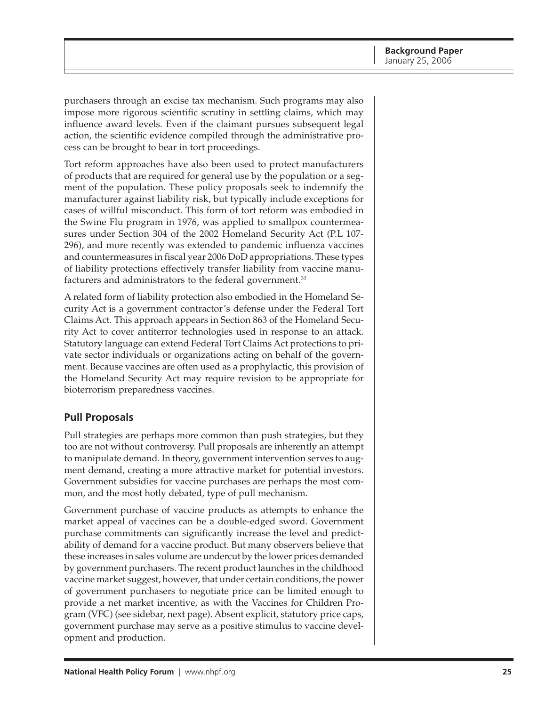purchasers through an excise tax mechanism. Such programs may also impose more rigorous scientific scrutiny in settling claims, which may influence award levels. Even if the claimant pursues subsequent legal action, the scientific evidence compiled through the administrative process can be brought to bear in tort proceedings.

Tort reform approaches have also been used to protect manufacturers of products that are required for general use by the population or a segment of the population. These policy proposals seek to indemnify the manufacturer against liability risk, but typically include exceptions for cases of willful misconduct. This form of tort reform was embodied in the Swine Flu program in 1976, was applied to smallpox countermeasures under Section 304 of the 2002 Homeland Security Act (P.L 107- 296), and more recently was extended to pandemic influenza vaccines and countermeasures in fiscal year 2006 DoD appropriations. These types of liability protections effectively transfer liability from vaccine manufacturers and administrators to the federal government.<sup>33</sup>

A related form of liability protection also embodied in the Homeland Security Act is a government contractor's defense under the Federal Tort Claims Act. This approach appears in Section 863 of the Homeland Security Act to cover antiterror technologies used in response to an attack. Statutory language can extend Federal Tort Claims Act protections to private sector individuals or organizations acting on behalf of the government. Because vaccines are often used as a prophylactic, this provision of the Homeland Security Act may require revision to be appropriate for bioterrorism preparedness vaccines.

### **Pull Proposals**

Pull strategies are perhaps more common than push strategies, but they too are not without controversy. Pull proposals are inherently an attempt to manipulate demand. In theory, government intervention serves to augment demand, creating a more attractive market for potential investors. Government subsidies for vaccine purchases are perhaps the most common, and the most hotly debated, type of pull mechanism.

Government purchase of vaccine products as attempts to enhance the market appeal of vaccines can be a double-edged sword. Government purchase commitments can significantly increase the level and predictability of demand for a vaccine product. But many observers believe that these increases in sales volume are undercut by the lower prices demanded by government purchasers. The recent product launches in the childhood vaccine market suggest, however, that under certain conditions, the power of government purchasers to negotiate price can be limited enough to provide a net market incentive, as with the Vaccines for Children Program (VFC) (see sidebar, next page). Absent explicit, statutory price caps, government purchase may serve as a positive stimulus to vaccine development and production.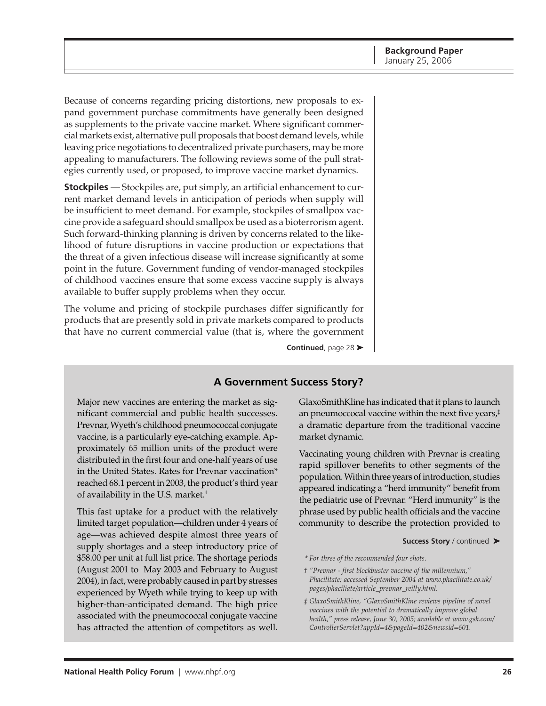Because of concerns regarding pricing distortions, new proposals to expand government purchase commitments have generally been designed as supplements to the private vaccine market. Where significant commercial markets exist, alternative pull proposals that boost demand levels, while leaving price negotiations to decentralized private purchasers, may be more appealing to manufacturers. The following reviews some of the pull strategies currently used, or proposed, to improve vaccine market dynamics.

**Stockpiles** *—* Stockpiles are, put simply, an artificial enhancement to current market demand levels in anticipation of periods when supply will be insufficient to meet demand. For example, stockpiles of smallpox vaccine provide a safeguard should smallpox be used as a bioterrorism agent. Such forward-thinking planning is driven by concerns related to the likelihood of future disruptions in vaccine production or expectations that the threat of a given infectious disease will increase significantly at some point in the future. Government funding of vendor-managed stockpiles of childhood vaccines ensure that some excess vaccine supply is always available to buffer supply problems when they occur.

The volume and pricing of stockpile purchases differ significantly for products that are presently sold in private markets compared to products that have no current commercial value (that is, where the government

**Continued**, page 28 ➤

### **A Government Success Story?**

Major new vaccines are entering the market as significant commercial and public health successes. Prevnar, Wyeth's childhood pneumococcal conjugate vaccine, is a particularly eye-catching example. Approximately 65 million units of the product were distributed in the first four and one-half years of use in the United States. Rates for Prevnar vaccination\* reached 68.1 percent in 2003, the product's third year of availability in the U.S. market.†

This fast uptake for a product with the relatively limited target population—children under 4 years of age—was achieved despite almost three years of supply shortages and a steep introductory price of \$58.00 per unit at full list price. The shortage periods (August 2001 to May 2003 and February to August 2004), in fact, were probably caused in part by stresses experienced by Wyeth while trying to keep up with higher-than-anticipated demand. The high price associated with the pneumococcal conjugate vaccine has attracted the attention of competitors as well.

GlaxoSmithKline has indicated that it plans to launch an pneumoccocal vaccine within the next five years,‡ a dramatic departure from the traditional vaccine market dynamic.

Vaccinating young children with Prevnar is creating rapid spillover benefits to other segments of the population. Within three years of introduction, studies appeared indicating a "herd immunity" benefit from the pediatric use of Prevnar. "Herd immunity" is the phrase used by public health officials and the vaccine community to describe the protection provided to

**Success Story** / continued ➤

*<sup>\*</sup> For three of the recommended four shots.*

*<sup>† &</sup>quot;Prevnar - first blockbuster vaccine of the millennium," Phacilitate; accessed September 2004 at www.phacilitate.co.uk/ pages/phaciliate/article\_prevnar\_reilly.html.*

*<sup>‡</sup> GlaxoSmithKline, "GlaxoSmithKline reviews pipeline of novel vaccines with the potential to dramatically improve global health," press release, June 30, 2005; available at www.gsk.com/ ControllerServlet?appId=4&pageId=402&newsid=601.*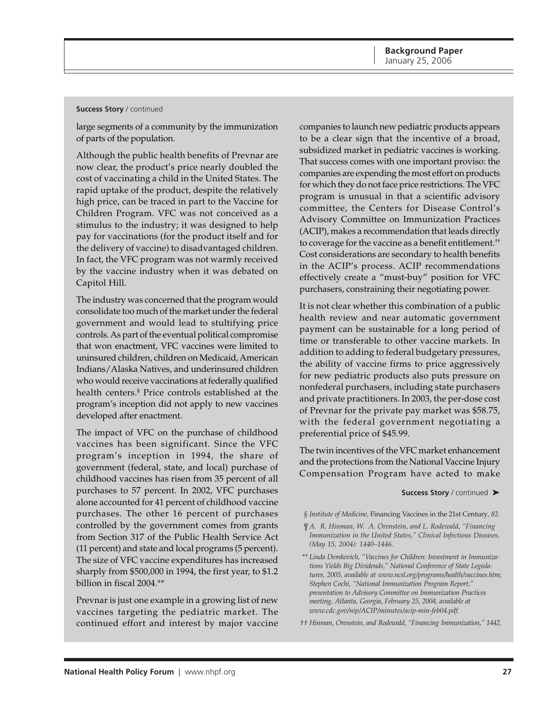#### **Success Story** / continued

large segments of a community by the immunization of parts of the population.

Although the public health benefits of Prevnar are now clear, the product's price nearly doubled the cost of vaccinating a child in the United States. The rapid uptake of the product, despite the relatively high price, can be traced in part to the Vaccine for Children Program. VFC was not conceived as a stimulus to the industry; it was designed to help pay for vaccinations (for the product itself and for the delivery of vaccine) to disadvantaged children. In fact, the VFC program was not warmly received by the vaccine industry when it was debated on Capitol Hill.

The industry was concerned that the program would consolidate too much of the market under the federal government and would lead to stultifying price controls. As part of the eventual political compromise that won enactment, VFC vaccines were limited to uninsured children, children on Medicaid, American Indians/Alaska Natives, and underinsured children who would receive vaccinations at federally qualified health centers.§ Price controls established at the program's inception did not apply to new vaccines developed after enactment.

The impact of VFC on the purchase of childhood vaccines has been significant. Since the VFC program's inception in 1994, the share of government (federal, state, and local) purchase of childhood vaccines has risen from 35 percent of all purchases to 57 percent. In 2002, VFC purchases alone accounted for 41 percent of childhood vaccine purchases. The other 16 percent of purchases controlled by the government comes from grants from Section 317 of the Public Health Service Act (11 percent) and state and local programs (5 percent). The size of VFC vaccine expenditures has increased sharply from \$500,000 in 1994, the first year, to \$1.2 billion in fiscal 2004.\*\*

Prevnar is just one example in a growing list of new vaccines targeting the pediatric market. The continued effort and interest by major vaccine

companies to launch new pediatric products appears to be a clear sign that the incentive of a broad, subsidized market in pediatric vaccines is working. That success comes with one important proviso: the companies are expending the most effort on products for which they do not face price restrictions. The VFC program is unusual in that a scientific advisory committee, the Centers for Disease Control's Advisory Committee on Immunization Practices (ACIP), makes a recommendation that leads directly to coverage for the vaccine as a benefit entitlement.†† Cost considerations are secondary to health benefits in the ACIP's process. ACIP recommendations effectively create a "must-buy" position for VFC purchasers, constraining their negotiating power.

It is not clear whether this combination of a public health review and near automatic government payment can be sustainable for a long period of time or transferable to other vaccine markets. In addition to adding to federal budgetary pressures, the ability of vaccine firms to price aggressively for new pediatric products also puts pressure on nonfederal purchasers, including state purchasers and private practitioners. In 2003, the per-dose cost of Prevnar for the private pay market was \$58.75, with the federal government negotiating a preferential price of \$45.99.

The twin incentives of the VFC market enhancement and the protections from the National Vaccine Injury Compensation Program have acted to make

**Success Story** / continued ➤

*§ Institute of Medicine,* Financing Vaccines in the 21st Century*, 82.*

- *¶ A. R. Hinman, W. A. Orenstein, and L. Rodewald, "Financing Immunization in the United States," Clinical Infectious Diseases, (May 15, 2004): 1440–1446.*
- *\*\* Linda Demkovich, "Vaccines for Children: Investment in Immunizations Yields Big Dividends," National Conference of State Legislatures, 2005, available at www.ncsl.org/programs/health/vaccines.htm; Stephen Cochi, "National Immunization Program Report," presentation to Advisory Committee on Immunization Practices meeting, Atlanta, Georgia, February 25, 2004, available at www.cdc.gov/nip/ACIP/minutes/acip-min-feb04.pdf.*
- *†† Hinman, Orenstein, and Rodewald, "Financing Immunization," 1442.*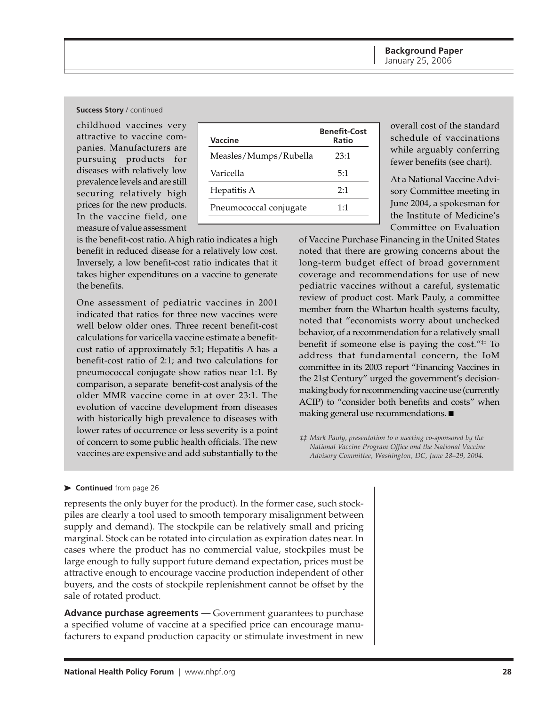#### **Success Story** / continued

childhood vaccines very attractive to vaccine companies. Manufacturers are pursuing products for diseases with relatively low prevalence levels and are still securing relatively high prices for the new products. In the vaccine field, one measure of value assessment

| Vaccine                | <b>Benefit-Cost</b><br>Ratio |
|------------------------|------------------------------|
| Measles/Mumps/Rubella  | 23:1                         |
| Varicella              | 5:1                          |
| Hepatitis A            | 2.1                          |
| Pneumococcal conjugate | 1.1                          |

is the benefit-cost ratio. A high ratio indicates a high benefit in reduced disease for a relatively low cost. Inversely, a low benefit-cost ratio indicates that it takes higher expenditures on a vaccine to generate the benefits.

One assessment of pediatric vaccines in 2001 indicated that ratios for three new vaccines were well below older ones. Three recent benefit-cost calculations for varicella vaccine estimate a benefitcost ratio of approximately 5:1; Hepatitis A has a benefit-cost ratio of 2:1; and two calculations for pneumococcal conjugate show ratios near 1:1. By comparison, a separate benefit-cost analysis of the older MMR vaccine come in at over 23:1. The evolution of vaccine development from diseases with historically high prevalence to diseases with lower rates of occurrence or less severity is a point of concern to some public health officials. The new vaccines are expensive and add substantially to the

overall cost of the standard schedule of vaccinations while arguably conferring fewer benefits (see chart).

At a National Vaccine Advisory Committee meeting in June 2004, a spokesman for the Institute of Medicine's Committee on Evaluation

of Vaccine Purchase Financing in the United States noted that there are growing concerns about the long-term budget effect of broad government coverage and recommendations for use of new pediatric vaccines without a careful, systematic review of product cost. Mark Pauly, a committee member from the Wharton health systems faculty, noted that "economists worry about unchecked behavior, of a recommendation for a relatively small benefit if someone else is paying the cost."<sup>#</sup> To address that fundamental concern, the IoM committee in its 2003 report "Financing Vaccines in the 21st Century" urged the government's decisionmaking body for recommending vaccine use (currently ACIP) to "consider both benefits and costs" when making general use recommendations. ■

*‡‡ Mark Pauly, presentation to a meeting co-sponsored by the National Vaccine Program Office and the National Vaccine Advisory Committee, Washington, DC, June 28–29, 2004.*

#### ➤ **Continued** from page 26

represents the only buyer for the product). In the former case, such stockpiles are clearly a tool used to smooth temporary misalignment between supply and demand). The stockpile can be relatively small and pricing marginal. Stock can be rotated into circulation as expiration dates near. In cases where the product has no commercial value, stockpiles must be large enough to fully support future demand expectation, prices must be attractive enough to encourage vaccine production independent of other buyers, and the costs of stockpile replenishment cannot be offset by the sale of rotated product.

**Advance purchase agreements** — Government guarantees to purchase a specified volume of vaccine at a specified price can encourage manufacturers to expand production capacity or stimulate investment in new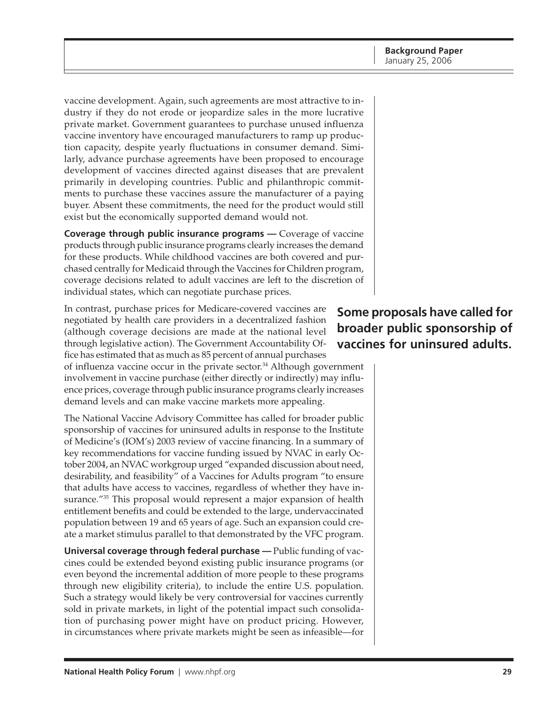vaccine development. Again, such agreements are most attractive to industry if they do not erode or jeopardize sales in the more lucrative private market. Government guarantees to purchase unused influenza vaccine inventory have encouraged manufacturers to ramp up production capacity, despite yearly fluctuations in consumer demand. Similarly, advance purchase agreements have been proposed to encourage development of vaccines directed against diseases that are prevalent primarily in developing countries. Public and philanthropic commitments to purchase these vaccines assure the manufacturer of a paying buyer. Absent these commitments, the need for the product would still exist but the economically supported demand would not.

**Coverage through public insurance programs** — Coverage of vaccine products through public insurance programs clearly increases the demand for these products. While childhood vaccines are both covered and purchased centrally for Medicaid through the Vaccines for Children program, coverage decisions related to adult vaccines are left to the discretion of individual states, which can negotiate purchase prices.

In contrast, purchase prices for Medicare-covered vaccines are negotiated by health care providers in a decentralized fashion (although coverage decisions are made at the national level through legislative action). The Government Accountability Office has estimated that as much as 85 percent of annual purchases

of influenza vaccine occur in the private sector. $34$  Although government involvement in vaccine purchase (either directly or indirectly) may influence prices, coverage through public insurance programs clearly increases demand levels and can make vaccine markets more appealing.

The National Vaccine Advisory Committee has called for broader public sponsorship of vaccines for uninsured adults in response to the Institute of Medicine's (IOM's) 2003 review of vaccine financing. In a summary of key recommendations for vaccine funding issued by NVAC in early October 2004, an NVAC workgroup urged "expanded discussion about need, desirability, and feasibility" of a Vaccines for Adults program "to ensure that adults have access to vaccines, regardless of whether they have insurance."<sup>35</sup> This proposal would represent a major expansion of health entitlement benefits and could be extended to the large, undervaccinated population between 19 and 65 years of age. Such an expansion could create a market stimulus parallel to that demonstrated by the VFC program.

**Universal coverage through federal purchase — Public funding of vac**cines could be extended beyond existing public insurance programs (or even beyond the incremental addition of more people to these programs through new eligibility criteria), to include the entire U.S. population. Such a strategy would likely be very controversial for vaccines currently sold in private markets, in light of the potential impact such consolidation of purchasing power might have on product pricing. However, in circumstances where private markets might be seen as infeasible—for

# **Some proposals have called for broader public sponsorship of vaccines for uninsured adults.**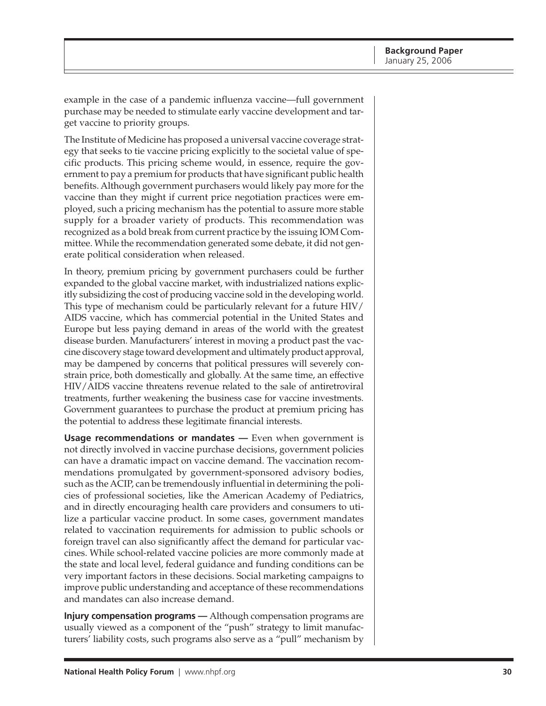example in the case of a pandemic influenza vaccine—full government purchase may be needed to stimulate early vaccine development and target vaccine to priority groups.

The Institute of Medicine has proposed a universal vaccine coverage strategy that seeks to tie vaccine pricing explicitly to the societal value of specific products. This pricing scheme would, in essence, require the government to pay a premium for products that have significant public health benefits. Although government purchasers would likely pay more for the vaccine than they might if current price negotiation practices were employed, such a pricing mechanism has the potential to assure more stable supply for a broader variety of products. This recommendation was recognized as a bold break from current practice by the issuing IOM Committee. While the recommendation generated some debate, it did not generate political consideration when released.

In theory, premium pricing by government purchasers could be further expanded to the global vaccine market, with industrialized nations explicitly subsidizing the cost of producing vaccine sold in the developing world. This type of mechanism could be particularly relevant for a future HIV/ AIDS vaccine, which has commercial potential in the United States and Europe but less paying demand in areas of the world with the greatest disease burden. Manufacturers' interest in moving a product past the vaccine discovery stage toward development and ultimately product approval, may be dampened by concerns that political pressures will severely constrain price, both domestically and globally. At the same time, an effective HIV/AIDS vaccine threatens revenue related to the sale of antiretroviral treatments, further weakening the business case for vaccine investments. Government guarantees to purchase the product at premium pricing has the potential to address these legitimate financial interests.

**Usage recommendations or mandates —** Even when government is not directly involved in vaccine purchase decisions, government policies can have a dramatic impact on vaccine demand. The vaccination recommendations promulgated by government-sponsored advisory bodies, such as the ACIP, can be tremendously influential in determining the policies of professional societies, like the American Academy of Pediatrics, and in directly encouraging health care providers and consumers to utilize a particular vaccine product. In some cases, government mandates related to vaccination requirements for admission to public schools or foreign travel can also significantly affect the demand for particular vaccines. While school-related vaccine policies are more commonly made at the state and local level, federal guidance and funding conditions can be very important factors in these decisions. Social marketing campaigns to improve public understanding and acceptance of these recommendations and mandates can also increase demand.

**Injury compensation programs —** Although compensation programs are usually viewed as a component of the "push" strategy to limit manufacturers' liability costs, such programs also serve as a "pull" mechanism by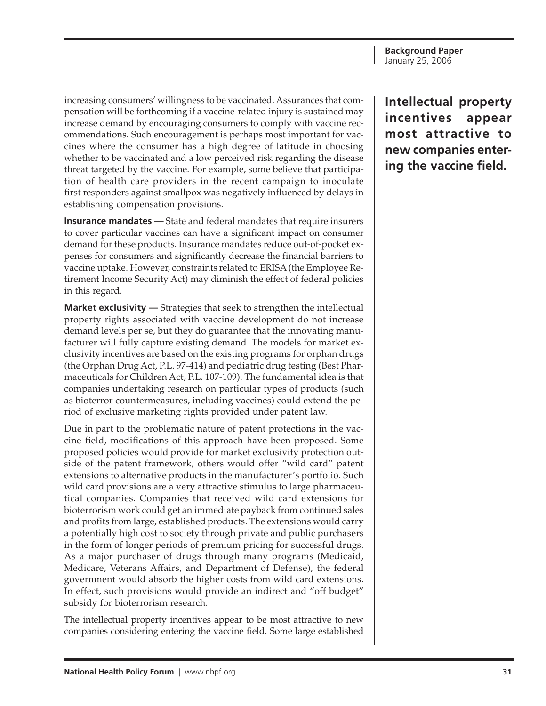increasing consumers' willingness to be vaccinated. Assurances that compensation will be forthcoming if a vaccine-related injury is sustained may increase demand by encouraging consumers to comply with vaccine recommendations. Such encouragement is perhaps most important for vaccines where the consumer has a high degree of latitude in choosing whether to be vaccinated and a low perceived risk regarding the disease threat targeted by the vaccine. For example, some believe that participation of health care providers in the recent campaign to inoculate first responders against smallpox was negatively influenced by delays in establishing compensation provisions.

**Insurance mandates** — State and federal mandates that require insurers to cover particular vaccines can have a significant impact on consumer demand for these products. Insurance mandates reduce out-of-pocket expenses for consumers and significantly decrease the financial barriers to vaccine uptake. However, constraints related to ERISA (the Employee Retirement Income Security Act) may diminish the effect of federal policies in this regard.

**Market exclusivity —** Strategies that seek to strengthen the intellectual property rights associated with vaccine development do not increase demand levels per se, but they do guarantee that the innovating manufacturer will fully capture existing demand. The models for market exclusivity incentives are based on the existing programs for orphan drugs (the Orphan Drug Act, P.L. 97-414) and pediatric drug testing (Best Pharmaceuticals for Children Act, P.L. 107-109). The fundamental idea is that companies undertaking research on particular types of products (such as bioterror countermeasures, including vaccines) could extend the period of exclusive marketing rights provided under patent law.

Due in part to the problematic nature of patent protections in the vaccine field, modifications of this approach have been proposed. Some proposed policies would provide for market exclusivity protection outside of the patent framework, others would offer "wild card" patent extensions to alternative products in the manufacturer's portfolio. Such wild card provisions are a very attractive stimulus to large pharmaceutical companies. Companies that received wild card extensions for bioterrorism work could get an immediate payback from continued sales and profits from large, established products. The extensions would carry a potentially high cost to society through private and public purchasers in the form of longer periods of premium pricing for successful drugs. As a major purchaser of drugs through many programs (Medicaid, Medicare, Veterans Affairs, and Department of Defense), the federal government would absorb the higher costs from wild card extensions. In effect, such provisions would provide an indirect and "off budget" subsidy for bioterrorism research.

The intellectual property incentives appear to be most attractive to new companies considering entering the vaccine field. Some large established **Intellectual property incentives appear most attractive to new companies entering the vaccine field.**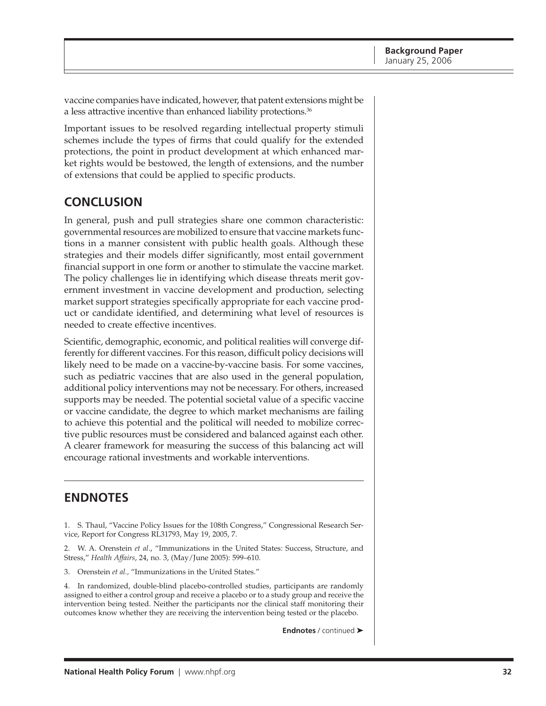<span id="page-31-0"></span>vaccine companies have indicated, however, that patent extensions might be a less attractive incentive than enhanced liability protections.<sup>36</sup>

Important issues to be resolved regarding intellectual property stimuli schemes include the types of firms that could qualify for the extended protections, the point in product development at which enhanced market rights would be bestowed, the length of extensions, and the number of extensions that could be applied to specific products.

# **CONCLUSION**

In general, push and pull strategies share one common characteristic: governmental resources are mobilized to ensure that vaccine markets functions in a manner consistent with public health goals. Although these strategies and their models differ significantly, most entail government financial support in one form or another to stimulate the vaccine market. The policy challenges lie in identifying which disease threats merit government investment in vaccine development and production, selecting market support strategies specifically appropriate for each vaccine product or candidate identified, and determining what level of resources is needed to create effective incentives.

Scientific, demographic, economic, and political realities will converge differently for different vaccines. For this reason, difficult policy decisions will likely need to be made on a vaccine-by-vaccine basis. For some vaccines, such as pediatric vaccines that are also used in the general population, additional policy interventions may not be necessary. For others, increased supports may be needed. The potential societal value of a specific vaccine or vaccine candidate, the degree to which market mechanisms are failing to achieve this potential and the political will needed to mobilize corrective public resources must be considered and balanced against each other. A clearer framework for measuring the success of this balancing act will encourage rational investments and workable interventions.

# **ENDNOTES**

1. S. Thaul, "Vaccine Policy Issues for the 108th Congress," Congressional Research Service, Report for Congress RL31793, May 19, 2005, 7.

2. W. A. Orenstein *et al*., "Immunizations in the United States: Success, Structure, and Stress," *Health Affairs*, 24, no. 3, (May/June 2005): 599–610.

3. Orenstein *et al.,* "Immunizations in the United States."

4. In randomized, double-blind placebo-controlled studies, participants are randomly assigned to either a control group and receive a placebo or to a study group and receive the intervention being tested. Neither the participants nor the clinical staff monitoring their outcomes know whether they are receiving the intervention being tested or the placebo.

**Endnotes** / continued ➤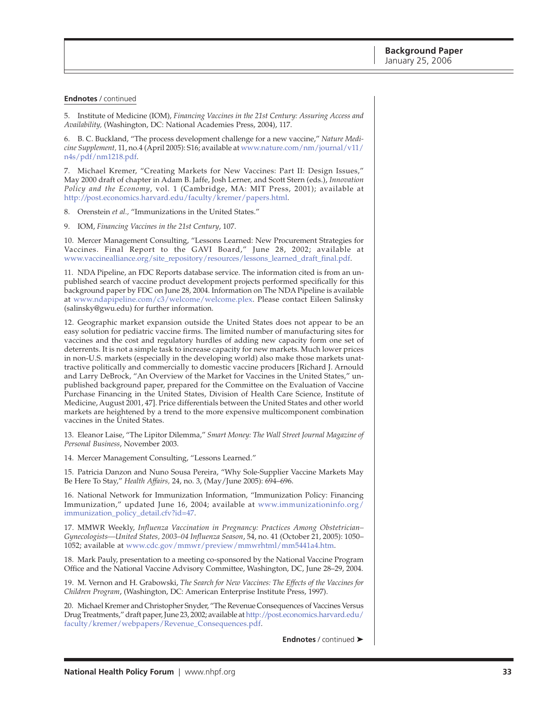#### **Endnotes** / continued

5. Institute of Medicine (IOM), *Financing Vaccines in the 21st Century: Assuring Access and Availability,* (Washington, DC: National Academies Press, 2004), 117.

6. B. C. Buckland, "The process development challenge for a new vaccine," *Nature Medicine Supplement,* [11, no.4 \(April 2005\): S16; available at www.nature.com/nm/journal/v11/](http://www.nature.com/nm/journal/v11/n4s/pdf/nm1218.pdf) n4s/pdf/nm1218.pdf.

7. Michael Kremer, "Creating Markets for New Vaccines: Part II: Design Issues," May 2000 draft of chapter in Adam B. Jaffe, Josh Lerner, and Scott Stern (eds.), *Innovation Policy and the Economy*, vol. 1 (Cambridge, MA: MIT Press, 2001); available at [http://post.economics.harvard.edu/faculty/kremer/papers.html.](http://post.economics.harvard.edu/faculty/kremer/papers.html)

8. Orenstein *et al.,* "Immunizations in the United States."

9. IOM, *Financing Vaccines in the 21st Century*, 107.

10. Mercer Management Consulting, "Lessons Learned: New Procurement Strategies for Vaccines. Final Report to the GAVI Board," June 28, 2002; available at [www.vaccinealliance.org/site\\_repository/resources/lessons\\_learned\\_draft\\_final.pdf.](http://www.vaccinealliance.org/site_repository/resources/lessons_learned_draft_final.pdf)

11. NDA Pipeline, an FDC Reports database service. The information cited is from an unpublished search of vaccine product development projects performed specifically for this background paper by FDC on June 28, 2004. Information on The NDA Pipeline is available at [www.ndapipeline.com/c3/welcome/welcome.plex.](http://www.ndapipeline.com/c3/welcome/welcome.plex) Please contact Eileen Salinsky (salinsky@gwu.edu) for further information.

12. Geographic market expansion outside the United States does not appear to be an easy solution for pediatric vaccine firms. The limited number of manufacturing sites for vaccines and the cost and regulatory hurdles of adding new capacity form one set of deterrents. It is not a simple task to increase capacity for new markets. Much lower prices in non-U.S. markets (especially in the developing world) also make those markets unattractive politically and commercially to domestic vaccine producers [Richard J. Arnould and Larry DeBrock, "An Overview of the Market for Vaccines in the United States," unpublished background paper, prepared for the Committee on the Evaluation of Vaccine Purchase Financing in the United States, Division of Health Care Science, Institute of Medicine, August 2001, 47]. Price differentials between the United States and other world markets are heightened by a trend to the more expensive multicomponent combination vaccines in the United States.

13. Eleanor Laise, "The Lipitor Dilemma," *Smart Money: The Wall Street Journal Magazine of Personal Business*, November 2003.

14. Mercer Management Consulting, "Lessons Learned."

15. Patricia Danzon and Nuno Sousa Pereira, "Why Sole-Supplier Vaccine Markets May Be Here To Stay," *Health Affairs,* 24, no. 3, (May/June 2005): 694–696.

16. National Network for Immunization Information, "Immunization Policy: Financing [Immunization," updated June 16, 2004; available at www.immunizationinfo.org/](http://www.immunizationinfo.org/immunization_policy_detail.cfv?id=47) immunization\_policy\_detail.cfv?id=47.

17. MMWR Weekly, *Influenza Vaccination in Pregnancy: Practices Among Obstetrician– Gynecologists—United States, 2003–04 Influenza Season*, 54, no. 41 (October 21, 2005): 1050– 1052; available at [www.cdc.gov/mmwr/preview/mmwrhtml/mm5441a4.htm.](http://www.cdc.gov/mmwr/preview/mmwrhtml/mm5441a4.htm)

18. Mark Pauly, presentation to a meeting co-sponsored by the National Vaccine Program Office and the National Vaccine Advisory Committee, Washington, DC, June 28–29, 2004.

19. M. Vernon and H. Grabowski, *The Search for New Vaccines: The Effects of the Vaccines for Children Program*, (Washington, DC: American Enterprise Institute Press, 1997).

20. Michael Kremer and Christopher Snyder, "The Revenue Consequences of Vaccines Versus [Drug Treatments," draft paper, June 23, 2002; available at http://post.economics.harvard.edu/](http://post.economics.harvard.edu/faculty/kremer/webpapers/Revenue_Consequences.pdf) faculty/kremer/webpapers/Revenue\_Consequences.pdf.

**Endnotes** / continued ➤